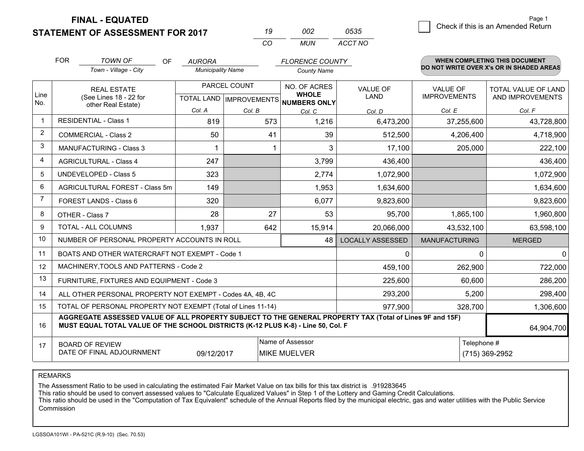**STATEMENT OF ASSESSMENT FOR 2017** 

|          | nne   | 0535    |
|----------|-------|---------|
| $\cdots$ | MI IN | ACCT NO |

|                | <b>FOR</b>                                                                                                                                                                                   | <b>TOWN OF</b><br>OF                                         | <b>AURORA</b>            |                                                          | <b>FLORENCE COUNTY</b> |                                |                                        | <b>WHEN COMPLETING THIS DOCUMENT</b>     |
|----------------|----------------------------------------------------------------------------------------------------------------------------------------------------------------------------------------------|--------------------------------------------------------------|--------------------------|----------------------------------------------------------|------------------------|--------------------------------|----------------------------------------|------------------------------------------|
|                |                                                                                                                                                                                              | Town - Village - City                                        | <b>Municipality Name</b> |                                                          | <b>County Name</b>     |                                |                                        | DO NOT WRITE OVER X's OR IN SHADED AREAS |
| Line<br>No.    |                                                                                                                                                                                              | <b>REAL ESTATE</b><br>(See Lines 18 - 22 for                 |                          | PARCEL COUNT<br>TOTAL LAND   IMPROVEMENTS   NUMBERS ONLY |                        | <b>VALUE OF</b><br><b>LAND</b> | <b>VALUE OF</b><br><b>IMPROVEMENTS</b> | TOTAL VALUE OF LAND<br>AND IMPROVEMENTS  |
|                | other Real Estate)                                                                                                                                                                           |                                                              | Col. A                   | Col. B                                                   | Col. C                 | Col. D                         | Col. E                                 | Col. F                                   |
| -1             | <b>RESIDENTIAL - Class 1</b>                                                                                                                                                                 |                                                              | 819                      | 573                                                      | 1,216                  | 6,473,200                      | 37,255,600                             | 43,728,800                               |
| 2              |                                                                                                                                                                                              | <b>COMMERCIAL - Class 2</b>                                  | 50                       | 41                                                       | 39                     | 512,500                        | 4,206,400                              | 4,718,900                                |
| 3              |                                                                                                                                                                                              | <b>MANUFACTURING - Class 3</b>                               |                          |                                                          | 3                      | 17,100                         | 205,000                                | 222,100                                  |
| 4              |                                                                                                                                                                                              | <b>AGRICULTURAL - Class 4</b>                                | 247                      |                                                          | 3,799                  | 436,400                        |                                        | 436,400                                  |
| 5              |                                                                                                                                                                                              | <b>UNDEVELOPED - Class 5</b>                                 | 323                      |                                                          | 2,774                  | 1,072,900                      |                                        | 1,072,900                                |
| 6              |                                                                                                                                                                                              | AGRICULTURAL FOREST - Class 5m                               | 149                      |                                                          | 1,953                  | 1,634,600                      |                                        | 1,634,600                                |
| $\overline{7}$ |                                                                                                                                                                                              | FOREST LANDS - Class 6                                       | 320                      |                                                          | 6,077                  | 9,823,600                      |                                        | 9,823,600                                |
| 8              |                                                                                                                                                                                              | OTHER - Class 7                                              | 28                       | 27                                                       | 53                     | 95,700                         | 1,865,100                              | 1,960,800                                |
| 9              |                                                                                                                                                                                              | TOTAL - ALL COLUMNS                                          | 1,937                    | 642                                                      | 15,914                 | 20,066,000                     | 43,532,100                             | 63,598,100                               |
| 10             |                                                                                                                                                                                              | NUMBER OF PERSONAL PROPERTY ACCOUNTS IN ROLL                 |                          |                                                          | 48                     | <b>LOCALLY ASSESSED</b>        | <b>MANUFACTURING</b>                   | <b>MERGED</b>                            |
| 11             |                                                                                                                                                                                              | BOATS AND OTHER WATERCRAFT NOT EXEMPT - Code 1               |                          |                                                          |                        | $\mathbf 0$                    | $\Omega$                               | $\Omega$                                 |
| 12             |                                                                                                                                                                                              | MACHINERY, TOOLS AND PATTERNS - Code 2                       |                          |                                                          |                        | 459,100                        | 262,900                                | 722,000                                  |
| 13             |                                                                                                                                                                                              | FURNITURE, FIXTURES AND EQUIPMENT - Code 3                   |                          |                                                          |                        | 225,600                        | 60,600                                 | 286,200                                  |
| 14             |                                                                                                                                                                                              | ALL OTHER PERSONAL PROPERTY NOT EXEMPT - Codes 4A, 4B, 4C    |                          |                                                          |                        | 293,200                        | 5,200                                  | 298,400                                  |
| 15             |                                                                                                                                                                                              | TOTAL OF PERSONAL PROPERTY NOT EXEMPT (Total of Lines 11-14) |                          |                                                          |                        | 977,900                        | 328,700                                | 1,306,600                                |
| 16             | AGGREGATE ASSESSED VALUE OF ALL PROPERTY SUBJECT TO THE GENERAL PROPERTY TAX (Total of Lines 9F and 15F)<br>MUST EQUAL TOTAL VALUE OF THE SCHOOL DISTRICTS (K-12 PLUS K-8) - Line 50, Col. F |                                                              |                          |                                                          |                        |                                | 64,904,700                             |                                          |
| 17             | Name of Assessor<br><b>BOARD OF REVIEW</b><br>DATE OF FINAL ADJOURNMENT<br>09/12/2017<br><b>MIKE MUELVER</b>                                                                                 |                                                              |                          |                                                          |                        | Telephone #                    | (715) 369-2952                         |                                          |

REMARKS

The Assessment Ratio to be used in calculating the estimated Fair Market Value on tax bills for this tax district is .919283645<br>This ratio should be used to convert assessed values to "Calculate Equalized Values" in Step 1 Commission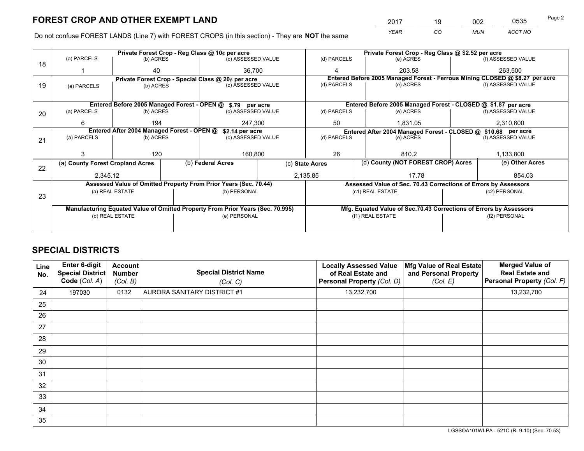*YEAR CO MUN ACCT NO* 2017 <u>19 002 0535</u> Page 2

Do not confuse FOREST LANDS (Line 7) with FOREST CROPS (in this section) - They are **NOT** the same

|    |                                                                                |                                  |  | Private Forest Crop - Reg Class @ 10¢ per acre                   |  |                                                               | Private Forest Crop - Reg Class @ \$2.52 per acre |  |                                                                              |  |
|----|--------------------------------------------------------------------------------|----------------------------------|--|------------------------------------------------------------------|--|---------------------------------------------------------------|---------------------------------------------------|--|------------------------------------------------------------------------------|--|
| 18 | (a) PARCELS                                                                    | (b) ACRES                        |  | (c) ASSESSED VALUE                                               |  | (d) PARCELS                                                   | (e) ACRES                                         |  | (f) ASSESSED VALUE                                                           |  |
|    |                                                                                | 40                               |  | 36.700                                                           |  | 4                                                             | 203.58                                            |  | 263.500                                                                      |  |
|    |                                                                                |                                  |  | Private Forest Crop - Special Class @ 20¢ per acre               |  |                                                               |                                                   |  | Entered Before 2005 Managed Forest - Ferrous Mining CLOSED @ \$8.27 per acre |  |
| 19 | (a) PARCELS                                                                    | (b) ACRES                        |  | (c) ASSESSED VALUE                                               |  | (d) PARCELS                                                   | (e) ACRES                                         |  | (f) ASSESSED VALUE                                                           |  |
|    |                                                                                |                                  |  |                                                                  |  |                                                               |                                                   |  |                                                                              |  |
|    |                                                                                |                                  |  | Entered Before 2005 Managed Forest - OPEN @ \$.79 per acre       |  |                                                               |                                                   |  | Entered Before 2005 Managed Forest - CLOSED @ \$1.87 per acre                |  |
| 20 | (a) PARCELS                                                                    | (b) ACRES                        |  | (c) ASSESSED VALUE                                               |  | (d) PARCELS                                                   | (e) ACRES                                         |  | (f) ASSESSED VALUE                                                           |  |
|    | 6                                                                              | 194                              |  | 247.300                                                          |  | 50                                                            | 1.831.05                                          |  | 2,310,600                                                                    |  |
|    | Entered After 2004 Managed Forest - OPEN @<br>\$2.14 per acre                  |                                  |  |                                                                  |  | Entered After 2004 Managed Forest - CLOSED @ \$10.68 per acre |                                                   |  |                                                                              |  |
| 21 | (a) PARCELS                                                                    | (b) ACRES                        |  | (c) ASSESSED VALUE                                               |  | (d) PARCELS<br>(e) ACRES                                      |                                                   |  | (f) ASSESSED VALUE                                                           |  |
|    |                                                                                |                                  |  |                                                                  |  |                                                               |                                                   |  |                                                                              |  |
|    |                                                                                | 120                              |  | 160,800                                                          |  | 26                                                            | 810.2                                             |  | 1,133,800                                                                    |  |
| 22 |                                                                                | (a) County Forest Cropland Acres |  | (b) Federal Acres                                                |  | (c) State Acres                                               | (d) County (NOT FOREST CROP) Acres                |  | (e) Other Acres                                                              |  |
|    | 2,345.12                                                                       |                                  |  | 2,135.85                                                         |  |                                                               | 17.78                                             |  | 854.03                                                                       |  |
|    |                                                                                |                                  |  | Assessed Value of Omitted Property From Prior Years (Sec. 70.44) |  |                                                               |                                                   |  | Assessed Value of Sec. 70.43 Corrections of Errors by Assessors              |  |
|    |                                                                                | (a) REAL ESTATE                  |  | (b) PERSONAL                                                     |  |                                                               | (c1) REAL ESTATE                                  |  | (c2) PERSONAL                                                                |  |
| 23 |                                                                                |                                  |  |                                                                  |  |                                                               |                                                   |  |                                                                              |  |
|    | Manufacturing Equated Value of Omitted Property From Prior Years (Sec. 70.995) |                                  |  |                                                                  |  |                                                               |                                                   |  | Mfg. Equated Value of Sec.70.43 Corrections of Errors by Assessors           |  |
|    |                                                                                | (d) REAL ESTATE                  |  | (e) PERSONAL                                                     |  |                                                               | (f1) REAL ESTATE                                  |  | (f2) PERSONAL                                                                |  |
|    |                                                                                |                                  |  |                                                                  |  |                                                               |                                                   |  |                                                                              |  |

# **SPECIAL DISTRICTS**

| Line<br>No. | Enter 6-digit<br><b>Special District</b><br>Code (Col. A) | <b>Account</b><br><b>Number</b><br>(Col. B) | <b>Special District Name</b><br>(Col. C) | <b>Locally Assessed Value</b><br>of Real Estate and<br>Personal Property (Col. D) | Mfg Value of Real Estate<br>and Personal Property<br>(Col. E) | <b>Merged Value of</b><br><b>Real Estate and</b><br>Personal Property (Col. F) |
|-------------|-----------------------------------------------------------|---------------------------------------------|------------------------------------------|-----------------------------------------------------------------------------------|---------------------------------------------------------------|--------------------------------------------------------------------------------|
| 24          | 197030                                                    | 0132                                        | AURORA SANITARY DISTRICT #1              | 13,232,700                                                                        |                                                               | 13,232,700                                                                     |
| 25          |                                                           |                                             |                                          |                                                                                   |                                                               |                                                                                |
| 26          |                                                           |                                             |                                          |                                                                                   |                                                               |                                                                                |
| 27          |                                                           |                                             |                                          |                                                                                   |                                                               |                                                                                |
| 28          |                                                           |                                             |                                          |                                                                                   |                                                               |                                                                                |
| 29          |                                                           |                                             |                                          |                                                                                   |                                                               |                                                                                |
| 30          |                                                           |                                             |                                          |                                                                                   |                                                               |                                                                                |
| 31          |                                                           |                                             |                                          |                                                                                   |                                                               |                                                                                |
| 32          |                                                           |                                             |                                          |                                                                                   |                                                               |                                                                                |
| 33          |                                                           |                                             |                                          |                                                                                   |                                                               |                                                                                |
| 34          |                                                           |                                             |                                          |                                                                                   |                                                               |                                                                                |
| 35          |                                                           |                                             |                                          |                                                                                   |                                                               |                                                                                |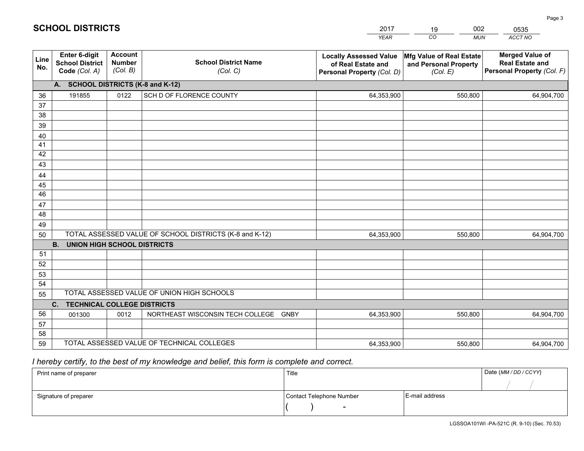|                 |                                                                 |                                             |                                                         | <b>YEAR</b>                                                                       | CO<br><b>MUN</b>                                              | ACCT NO                                                                        |
|-----------------|-----------------------------------------------------------------|---------------------------------------------|---------------------------------------------------------|-----------------------------------------------------------------------------------|---------------------------------------------------------------|--------------------------------------------------------------------------------|
| Line<br>No.     | <b>Enter 6-digit</b><br><b>School District</b><br>Code (Col. A) | <b>Account</b><br><b>Number</b><br>(Col. B) | <b>School District Name</b><br>(Col. C)                 | <b>Locally Assessed Value</b><br>of Real Estate and<br>Personal Property (Col. D) | Mfg Value of Real Estate<br>and Personal Property<br>(Col. E) | <b>Merged Value of</b><br><b>Real Estate and</b><br>Personal Property (Col. F) |
|                 | A. SCHOOL DISTRICTS (K-8 and K-12)                              |                                             |                                                         |                                                                                   |                                                               |                                                                                |
| 36              | 191855                                                          | 0122                                        | SCH D OF FLORENCE COUNTY                                | 64,353,900                                                                        | 550,800                                                       | 64,904,700                                                                     |
| 37              |                                                                 |                                             |                                                         |                                                                                   |                                                               |                                                                                |
| 38              |                                                                 |                                             |                                                         |                                                                                   |                                                               |                                                                                |
| 39              |                                                                 |                                             |                                                         |                                                                                   |                                                               |                                                                                |
| 40              |                                                                 |                                             |                                                         |                                                                                   |                                                               |                                                                                |
| 41              |                                                                 |                                             |                                                         |                                                                                   |                                                               |                                                                                |
| 42<br>43        |                                                                 |                                             |                                                         |                                                                                   |                                                               |                                                                                |
| 44              |                                                                 |                                             |                                                         |                                                                                   |                                                               |                                                                                |
| 45              |                                                                 |                                             |                                                         |                                                                                   |                                                               |                                                                                |
| $\overline{46}$ |                                                                 |                                             |                                                         |                                                                                   |                                                               |                                                                                |
| 47              |                                                                 |                                             |                                                         |                                                                                   |                                                               |                                                                                |
| 48              |                                                                 |                                             |                                                         |                                                                                   |                                                               |                                                                                |
| 49              |                                                                 |                                             |                                                         |                                                                                   |                                                               |                                                                                |
| 50              |                                                                 |                                             | TOTAL ASSESSED VALUE OF SCHOOL DISTRICTS (K-8 and K-12) | 64,353,900                                                                        | 550,800                                                       | 64,904,700                                                                     |
|                 | <b>B.</b><br><b>UNION HIGH SCHOOL DISTRICTS</b>                 |                                             |                                                         |                                                                                   |                                                               |                                                                                |
| 51              |                                                                 |                                             |                                                         |                                                                                   |                                                               |                                                                                |
| 52              |                                                                 |                                             |                                                         |                                                                                   |                                                               |                                                                                |
| 53              |                                                                 |                                             |                                                         |                                                                                   |                                                               |                                                                                |
| 54              |                                                                 |                                             |                                                         |                                                                                   |                                                               |                                                                                |
| 55              |                                                                 |                                             | TOTAL ASSESSED VALUE OF UNION HIGH SCHOOLS              |                                                                                   |                                                               |                                                                                |
|                 | C.<br><b>TECHNICAL COLLEGE DISTRICTS</b>                        |                                             |                                                         |                                                                                   |                                                               |                                                                                |
| 56              | 001300                                                          | 0012                                        | NORTHEAST WISCONSIN TECH COLLEGE<br><b>GNBY</b>         | 64,353,900                                                                        | 550,800                                                       | 64,904,700                                                                     |
| 57<br>58        |                                                                 |                                             |                                                         |                                                                                   |                                                               |                                                                                |
| 59              |                                                                 |                                             | TOTAL ASSESSED VALUE OF TECHNICAL COLLEGES              | 64,353,900                                                                        | 550,800                                                       | 64,904,700                                                                     |
|                 |                                                                 |                                             |                                                         |                                                                                   |                                                               |                                                                                |

2017

19

002

 *I hereby certify, to the best of my knowledge and belief, this form is complete and correct.*

**SCHOOL DISTRICTS**

| Print name of preparer | Title                    |                | Date (MM/DD/CCYY) |
|------------------------|--------------------------|----------------|-------------------|
|                        |                          |                |                   |
| Signature of preparer  | Contact Telephone Number | E-mail address |                   |
|                        | $\overline{\phantom{0}}$ |                |                   |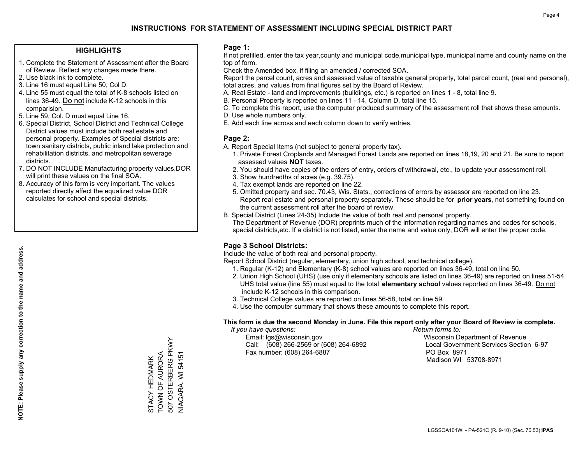#### **HIGHLIGHTS**

- 1. Complete the Statement of Assessment after the Board of Review. Reflect any changes made there.
- 2. Use black ink to complete.
- 3. Line 16 must equal Line 50, Col D.
- 4. Line 55 must equal the total of K-8 schools listed on lines 36-49. Do not include K-12 schools in this comparision.
- 5. Line 59, Col. D must equal Line 16.
- 6. Special District, School District and Technical College District values must include both real estate and personal property. Examples of Special districts are: town sanitary districts, public inland lake protection and rehabilitation districts, and metropolitan sewerage districts.
- 7. DO NOT INCLUDE Manufacturing property values.DOR will print these values on the final SOA.
- 8. Accuracy of this form is very important. The values reported directly affect the equalized value DOR calculates for school and special districts.

#### **Page 1:**

 If not prefilled, enter the tax year,county and municipal code,municipal type, municipal name and county name on the top of form.

Check the Amended box, if filing an amended / corrected SOA.

 Report the parcel count, acres and assessed value of taxable general property, total parcel count, (real and personal), total acres, and values from final figures set by the Board of Review.

- A. Real Estate land and improvements (buildings, etc.) is reported on lines 1 8, total line 9.
- B. Personal Property is reported on lines 11 14, Column D, total line 15.
- C. To complete this report, use the computer produced summary of the assessment roll that shows these amounts.
- D. Use whole numbers only.
- E. Add each line across and each column down to verify entries.

### **Page 2:**

- A. Report Special Items (not subject to general property tax).
- 1. Private Forest Croplands and Managed Forest Lands are reported on lines 18,19, 20 and 21. Be sure to report assessed values **NOT** taxes.
- 2. You should have copies of the orders of entry, orders of withdrawal, etc., to update your assessment roll.
	- 3. Show hundredths of acres (e.g. 39.75).
- 4. Tax exempt lands are reported on line 22.
- 5. Omitted property and sec. 70.43, Wis. Stats., corrections of errors by assessor are reported on line 23. Report real estate and personal property separately. These should be for **prior years**, not something found on the current assessment roll after the board of review.
- B. Special District (Lines 24-35) Include the value of both real and personal property.
- The Department of Revenue (DOR) preprints much of the information regarding names and codes for schools, special districts,etc. If a district is not listed, enter the name and value only, DOR will enter the proper code.

## **Page 3 School Districts:**

Include the value of both real and personal property.

Report School District (regular, elementary, union high school, and technical college).

- 1. Regular (K-12) and Elementary (K-8) school values are reported on lines 36-49, total on line 50.
- 2. Union High School (UHS) (use only if elementary schools are listed on lines 36-49) are reported on lines 51-54. UHS total value (line 55) must equal to the total **elementary school** values reported on lines 36-49. Do notinclude K-12 schools in this comparison.
- 3. Technical College values are reported on lines 56-58, total on line 59.
- 4. Use the computer summary that shows these amounts to complete this report.

#### **This form is due the second Monday in June. File this report only after your Board of Review is complete.**

 *If you have questions: Return forms to:*

 Email: lgs@wisconsin.gov Wisconsin Department of RevenueCall:  $(608)$  266-2569 or  $(608)$  264-6892 Fax number: (608) 264-6887 PO Box 8971

Local Government Services Section 6-97 Madison WI 53708-8971

507 OSTERBERG PKWY 507 OSTERBERG PKWY TOWN OF AURORA STACY HEDMARK<br>TOWN OF AURORA STACY HEDMARK

NIAGARA, WI 54151

**VIAGARA, WI 54151**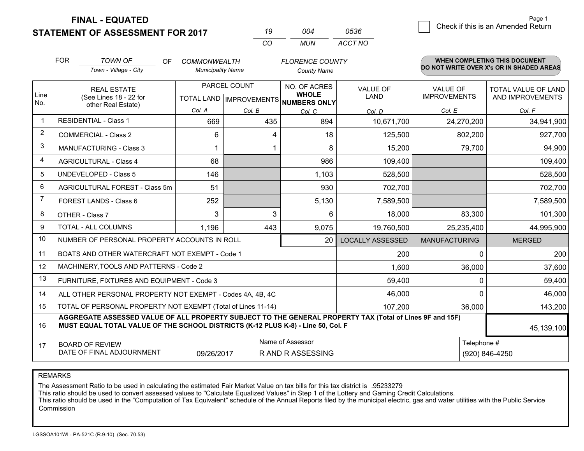**STATEMENT OF ASSESSMENT FOR 2017** 

**FINAL - EQUATED**

| 19 | 004 | 0536    |
|----|-----|---------|
| CO | MUN | ACCT NO |

|                | <b>FOR</b><br><b>TOWN OF</b><br>OF<br><b>COMMONWEALTH</b><br><b>FLORENCE COUNTY</b>                                                                                                          |                                                           |                                           | <b>WHEN COMPLETING THIS DOCUMENT</b><br>DO NOT WRITE OVER X's OR IN SHADED AREAS |                              |                                |                                        |                                         |
|----------------|----------------------------------------------------------------------------------------------------------------------------------------------------------------------------------------------|-----------------------------------------------------------|-------------------------------------------|----------------------------------------------------------------------------------|------------------------------|--------------------------------|----------------------------------------|-----------------------------------------|
|                |                                                                                                                                                                                              | Town - Village - City                                     | <b>Municipality Name</b>                  |                                                                                  | <b>County Name</b>           |                                |                                        |                                         |
| Line           |                                                                                                                                                                                              | <b>REAL ESTATE</b><br>(See Lines 18 - 22 for              | PARCEL COUNT<br>TOTAL LAND   IMPROVEMENTS |                                                                                  | NO. OF ACRES<br><b>WHOLE</b> | <b>VALUE OF</b><br><b>LAND</b> | <b>VALUE OF</b><br><b>IMPROVEMENTS</b> | TOTAL VALUE OF LAND<br>AND IMPROVEMENTS |
| No.            |                                                                                                                                                                                              | other Real Estate)                                        | Col. A                                    | Col. B                                                                           | NUMBERS ONLY<br>Col. C       | Col. D                         | Col. E                                 | Col. F                                  |
| $\mathbf 1$    | <b>RESIDENTIAL - Class 1</b>                                                                                                                                                                 |                                                           | 669                                       | 435                                                                              | 894                          | 10,671,700                     | 24,270,200                             | 34,941,900                              |
| $\overline{2}$ |                                                                                                                                                                                              | <b>COMMERCIAL - Class 2</b>                               | 6                                         | 4                                                                                | 18                           | 125,500                        | 802,200                                | 927,700                                 |
| 3              |                                                                                                                                                                                              | <b>MANUFACTURING - Class 3</b>                            |                                           | 1                                                                                | 8                            | 15,200                         | 79,700                                 | 94,900                                  |
| $\overline{4}$ |                                                                                                                                                                                              | <b>AGRICULTURAL - Class 4</b>                             | 68                                        |                                                                                  | 986                          | 109,400                        |                                        | 109,400                                 |
| 5              |                                                                                                                                                                                              | <b>UNDEVELOPED - Class 5</b>                              | 146                                       |                                                                                  | 1,103                        | 528,500                        |                                        | 528,500                                 |
| 6              |                                                                                                                                                                                              | AGRICULTURAL FOREST - Class 5m                            | 51                                        |                                                                                  | 930                          | 702,700                        |                                        | 702,700                                 |
| 7              |                                                                                                                                                                                              | FOREST LANDS - Class 6                                    | 252                                       |                                                                                  | 5,130                        | 7,589,500                      |                                        | 7,589,500                               |
| 8              |                                                                                                                                                                                              | OTHER - Class 7                                           | 3                                         | 3                                                                                | 6                            | 18,000                         | 83,300                                 | 101,300                                 |
| 9              |                                                                                                                                                                                              | TOTAL - ALL COLUMNS                                       | 1,196                                     | 443                                                                              | 9,075                        | 19,760,500                     | 25,235,400                             | 44,995,900                              |
| 10             |                                                                                                                                                                                              | NUMBER OF PERSONAL PROPERTY ACCOUNTS IN ROLL              |                                           |                                                                                  | 20                           | <b>LOCALLY ASSESSED</b>        | <b>MANUFACTURING</b>                   | <b>MERGED</b>                           |
| 11             |                                                                                                                                                                                              | BOATS AND OTHER WATERCRAFT NOT EXEMPT - Code 1            |                                           |                                                                                  |                              | 200                            | $\Omega$                               | 200                                     |
| 12             |                                                                                                                                                                                              | MACHINERY, TOOLS AND PATTERNS - Code 2                    |                                           |                                                                                  |                              | 1,600                          | 36,000                                 | 37,600                                  |
| 13             |                                                                                                                                                                                              | FURNITURE, FIXTURES AND EQUIPMENT - Code 3                |                                           |                                                                                  |                              | 59,400                         | $\Omega$                               | 59,400                                  |
| 14             |                                                                                                                                                                                              | ALL OTHER PERSONAL PROPERTY NOT EXEMPT - Codes 4A, 4B, 4C |                                           |                                                                                  |                              | 46,000                         | $\Omega$                               | 46,000                                  |
| 15             | TOTAL OF PERSONAL PROPERTY NOT EXEMPT (Total of Lines 11-14)<br>107,200                                                                                                                      |                                                           |                                           |                                                                                  |                              |                                | 36,000                                 | 143,200                                 |
| 16             | AGGREGATE ASSESSED VALUE OF ALL PROPERTY SUBJECT TO THE GENERAL PROPERTY TAX (Total of Lines 9F and 15F)<br>MUST EQUAL TOTAL VALUE OF THE SCHOOL DISTRICTS (K-12 PLUS K-8) - Line 50, Col. F |                                                           |                                           |                                                                                  |                              |                                | 45,139,100                             |                                         |
| 17             |                                                                                                                                                                                              | <b>BOARD OF REVIEW</b>                                    |                                           |                                                                                  | Name of Assessor             |                                | Telephone #                            |                                         |
|                | DATE OF FINAL ADJOURNMENT<br>09/26/2017<br>R AND R ASSESSING<br>(920) 846-4250                                                                                                               |                                                           |                                           |                                                                                  |                              |                                |                                        |                                         |

REMARKS

The Assessment Ratio to be used in calculating the estimated Fair Market Value on tax bills for this tax district is .95233279

This ratio should be used to convert assessed values to "Calculate Equalized Values" in Step 1 of the Lottery and Gaming Credit Calculations.

 This ratio should be used in the "Computation of Tax Equivalent" schedule of the Annual Reports filed by the municipal electric, gas and water utilities with the Public Service Commission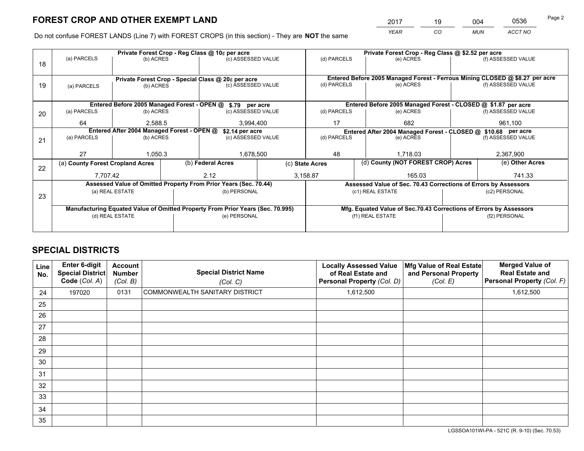*YEAR CO MUN ACCT NO* 2017 <u>19 004 0536</u>

Do not confuse FOREST LANDS (Line 7) with FOREST CROPS (in this section) - They are **NOT** the same

|    |                                                                                |                                            | Private Forest Crop - Reg Class @ 10¢ per acre                   |                    | Private Forest Crop - Reg Class @ \$2.52 per acre                            |                                                                              |                    |                    |  |
|----|--------------------------------------------------------------------------------|--------------------------------------------|------------------------------------------------------------------|--------------------|------------------------------------------------------------------------------|------------------------------------------------------------------------------|--------------------|--------------------|--|
| 18 | (a) PARCELS                                                                    | (b) ACRES                                  |                                                                  | (c) ASSESSED VALUE |                                                                              | (e) ACRES                                                                    |                    | (f) ASSESSED VALUE |  |
|    |                                                                                |                                            |                                                                  |                    |                                                                              |                                                                              |                    |                    |  |
|    | Private Forest Crop - Special Class @ 20¢ per acre                             |                                            |                                                                  |                    |                                                                              | Entered Before 2005 Managed Forest - Ferrous Mining CLOSED @ \$8.27 per acre |                    |                    |  |
| 19 | (a) PARCELS                                                                    | (b) ACRES                                  |                                                                  | (c) ASSESSED VALUE | (d) PARCELS                                                                  | (e) ACRES                                                                    |                    | (f) ASSESSED VALUE |  |
|    |                                                                                |                                            |                                                                  |                    |                                                                              |                                                                              |                    |                    |  |
|    |                                                                                |                                            | Entered Before 2005 Managed Forest - OPEN @ \$.79 per acre       |                    |                                                                              | Entered Before 2005 Managed Forest - CLOSED @ \$1.87 per acre                |                    |                    |  |
| 20 | (a) PARCELS                                                                    | (b) ACRES                                  |                                                                  | (c) ASSESSED VALUE | (d) PARCELS                                                                  | (e) ACRES                                                                    |                    | (f) ASSESSED VALUE |  |
|    | 64                                                                             | 2.588.5                                    |                                                                  | 3,994,400          |                                                                              | 682                                                                          |                    | 961,100            |  |
|    |                                                                                | Entered After 2004 Managed Forest - OPEN @ | \$2.14 per acre                                                  |                    | Entered After 2004 Managed Forest - CLOSED @ \$10.68 per acre<br>(d) PARCELS |                                                                              |                    |                    |  |
| 21 | (a) PARCELS                                                                    | (b) ACRES                                  |                                                                  | (c) ASSESSED VALUE |                                                                              | (e) ACRES                                                                    | (f) ASSESSED VALUE |                    |  |
|    |                                                                                |                                            |                                                                  |                    | 48                                                                           |                                                                              |                    | 2,367,900          |  |
|    | 27                                                                             | 1,050.3                                    |                                                                  | 1,678,500          |                                                                              | 1,718.03                                                                     |                    |                    |  |
| 22 | (a) County Forest Cropland Acres                                               |                                            | (b) Federal Acres                                                |                    | (c) State Acres                                                              | (d) County (NOT FOREST CROP) Acres                                           |                    | (e) Other Acres    |  |
|    | 7,707.42                                                                       |                                            | 2.12                                                             | 3,158.87           |                                                                              | 165.03                                                                       |                    | 741.33             |  |
|    |                                                                                |                                            | Assessed Value of Omitted Property From Prior Years (Sec. 70.44) |                    | Assessed Value of Sec. 70.43 Corrections of Errors by Assessors              |                                                                              |                    |                    |  |
| 23 |                                                                                | (a) REAL ESTATE                            | (b) PERSONAL                                                     |                    |                                                                              | (c1) REAL ESTATE                                                             | (c2) PERSONAL      |                    |  |
|    |                                                                                |                                            |                                                                  |                    |                                                                              |                                                                              |                    |                    |  |
|    | Manufacturing Equated Value of Omitted Property From Prior Years (Sec. 70.995) |                                            |                                                                  |                    |                                                                              | Mfg. Equated Value of Sec.70.43 Corrections of Errors by Assessors           |                    |                    |  |
|    |                                                                                | (d) REAL ESTATE                            | (e) PERSONAL                                                     |                    |                                                                              | (f1) REAL ESTATE                                                             |                    | (f2) PERSONAL      |  |
|    |                                                                                |                                            |                                                                  |                    |                                                                              |                                                                              |                    |                    |  |

# **SPECIAL DISTRICTS**

| Line<br>No. | Enter 6-digit<br><b>Special District</b><br>Code (Col. A) | <b>Account</b><br><b>Number</b><br>(Col. B) | <b>Special District Name</b><br>(Col. C) | <b>Locally Assessed Value</b><br>of Real Estate and<br>Personal Property (Col. D) | Mfg Value of Real Estate<br>and Personal Property<br>(Col. E) | <b>Merged Value of</b><br><b>Real Estate and</b><br>Personal Property (Col. F) |
|-------------|-----------------------------------------------------------|---------------------------------------------|------------------------------------------|-----------------------------------------------------------------------------------|---------------------------------------------------------------|--------------------------------------------------------------------------------|
| 24          | 197020                                                    | 0131                                        | COMMONWEALTH SANITARY DISTRICT           | 1,612,500                                                                         |                                                               | 1,612,500                                                                      |
| 25          |                                                           |                                             |                                          |                                                                                   |                                                               |                                                                                |
| 26          |                                                           |                                             |                                          |                                                                                   |                                                               |                                                                                |
| 27          |                                                           |                                             |                                          |                                                                                   |                                                               |                                                                                |
| 28          |                                                           |                                             |                                          |                                                                                   |                                                               |                                                                                |
| 29          |                                                           |                                             |                                          |                                                                                   |                                                               |                                                                                |
| 30          |                                                           |                                             |                                          |                                                                                   |                                                               |                                                                                |
| 31          |                                                           |                                             |                                          |                                                                                   |                                                               |                                                                                |
| 32          |                                                           |                                             |                                          |                                                                                   |                                                               |                                                                                |
| 33          |                                                           |                                             |                                          |                                                                                   |                                                               |                                                                                |
| 34          |                                                           |                                             |                                          |                                                                                   |                                                               |                                                                                |
| 35          |                                                           |                                             |                                          |                                                                                   |                                                               |                                                                                |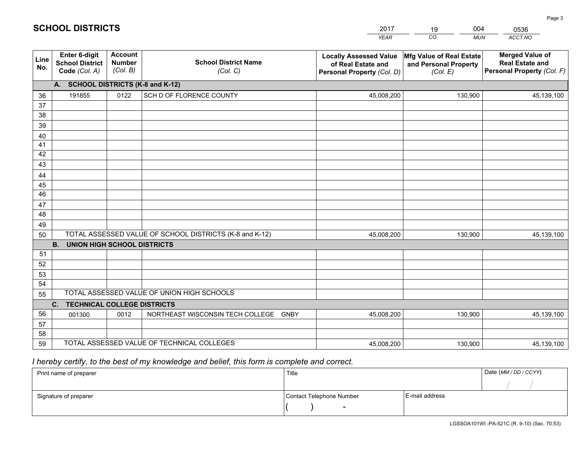|             |                                                                 |                                             |                                                         | <b>YEAR</b>                                                                       | CO<br><b>MUN</b>                                              | ACCT NO                                                                        |
|-------------|-----------------------------------------------------------------|---------------------------------------------|---------------------------------------------------------|-----------------------------------------------------------------------------------|---------------------------------------------------------------|--------------------------------------------------------------------------------|
| Line<br>No. | <b>Enter 6-digit</b><br><b>School District</b><br>Code (Col. A) | <b>Account</b><br><b>Number</b><br>(Col. B) | <b>School District Name</b><br>(Col. C)                 | <b>Locally Assessed Value</b><br>of Real Estate and<br>Personal Property (Col. D) | Mfg Value of Real Estate<br>and Personal Property<br>(Col. E) | <b>Merged Value of</b><br><b>Real Estate and</b><br>Personal Property (Col. F) |
|             | A. SCHOOL DISTRICTS (K-8 and K-12)                              |                                             |                                                         |                                                                                   |                                                               |                                                                                |
| 36          | 191855                                                          | 0122                                        | SCH D OF FLORENCE COUNTY                                | 45,008,200                                                                        | 130,900                                                       | 45,139,100                                                                     |
| 37          |                                                                 |                                             |                                                         |                                                                                   |                                                               |                                                                                |
| 38          |                                                                 |                                             |                                                         |                                                                                   |                                                               |                                                                                |
| 39          |                                                                 |                                             |                                                         |                                                                                   |                                                               |                                                                                |
| 40          |                                                                 |                                             |                                                         |                                                                                   |                                                               |                                                                                |
| 41<br>42    |                                                                 |                                             |                                                         |                                                                                   |                                                               |                                                                                |
| 43          |                                                                 |                                             |                                                         |                                                                                   |                                                               |                                                                                |
|             |                                                                 |                                             |                                                         |                                                                                   |                                                               |                                                                                |
| 44<br>45    |                                                                 |                                             |                                                         |                                                                                   |                                                               |                                                                                |
| 46          |                                                                 |                                             |                                                         |                                                                                   |                                                               |                                                                                |
| 47          |                                                                 |                                             |                                                         |                                                                                   |                                                               |                                                                                |
| 48          |                                                                 |                                             |                                                         |                                                                                   |                                                               |                                                                                |
| 49          |                                                                 |                                             |                                                         |                                                                                   |                                                               |                                                                                |
| 50          |                                                                 |                                             | TOTAL ASSESSED VALUE OF SCHOOL DISTRICTS (K-8 and K-12) | 45,008,200                                                                        | 130,900                                                       | 45,139,100                                                                     |
|             | <b>B.</b><br><b>UNION HIGH SCHOOL DISTRICTS</b>                 |                                             |                                                         |                                                                                   |                                                               |                                                                                |
| 51          |                                                                 |                                             |                                                         |                                                                                   |                                                               |                                                                                |
| 52          |                                                                 |                                             |                                                         |                                                                                   |                                                               |                                                                                |
| 53          |                                                                 |                                             |                                                         |                                                                                   |                                                               |                                                                                |
| 54          |                                                                 |                                             |                                                         |                                                                                   |                                                               |                                                                                |
| 55          |                                                                 |                                             | TOTAL ASSESSED VALUE OF UNION HIGH SCHOOLS              |                                                                                   |                                                               |                                                                                |
|             | C.<br><b>TECHNICAL COLLEGE DISTRICTS</b>                        |                                             |                                                         |                                                                                   |                                                               |                                                                                |
| 56          | 001300                                                          | 0012                                        | NORTHEAST WISCONSIN TECH COLLEGE<br><b>GNBY</b>         | 45,008,200                                                                        | 130,900                                                       | 45,139,100                                                                     |
| 57<br>58    |                                                                 |                                             |                                                         |                                                                                   |                                                               |                                                                                |
| 59          |                                                                 |                                             | TOTAL ASSESSED VALUE OF TECHNICAL COLLEGES              | 45,008,200                                                                        | 130,900                                                       | 45,139,100                                                                     |
|             |                                                                 |                                             |                                                         |                                                                                   |                                                               |                                                                                |

 *I hereby certify, to the best of my knowledge and belief, this form is complete and correct.*

| Print name of preparer | Title                    |                | Date (MM/DD/CCYY) |
|------------------------|--------------------------|----------------|-------------------|
|                        |                          |                |                   |
| Signature of preparer  | Contact Telephone Number | E-mail address |                   |
|                        | $\overline{\phantom{0}}$ |                |                   |

Page 3

| <b>SCHOOL DISTRICTS</b> |  |
|-------------------------|--|
|-------------------------|--|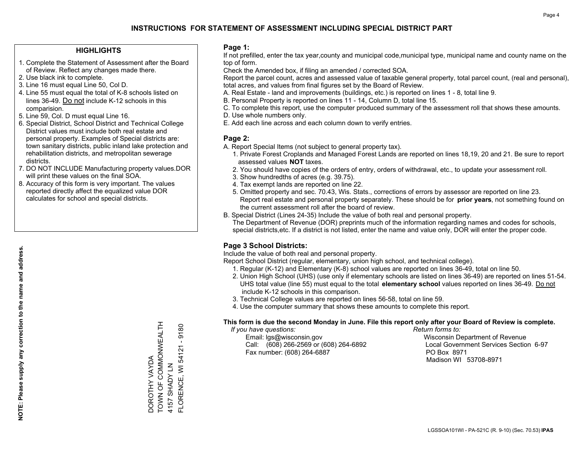#### **HIGHLIGHTS**

- 1. Complete the Statement of Assessment after the Board of Review. Reflect any changes made there.
- 2. Use black ink to complete.
- 3. Line 16 must equal Line 50, Col D.
- 4. Line 55 must equal the total of K-8 schools listed on lines 36-49. Do not include K-12 schools in this comparision.
- 5. Line 59, Col. D must equal Line 16.
- 6. Special District, School District and Technical College District values must include both real estate and personal property. Examples of Special districts are: town sanitary districts, public inland lake protection and rehabilitation districts, and metropolitan sewerage districts.
- 7. DO NOT INCLUDE Manufacturing property values.DOR will print these values on the final SOA.

DOROTHY VAYDA

TOWN OF COMMONWEALTH

DOROTHY VAYDA<br>TOWN OF COMMONWEALTH

4157 SHADY LN

FLORENCE, WI 54121 - 9180

FLORENCE, WI 54121 4157 SHADY LN

9180

 8. Accuracy of this form is very important. The values reported directly affect the equalized value DOR calculates for school and special districts.

#### **Page 1:**

 If not prefilled, enter the tax year,county and municipal code,municipal type, municipal name and county name on the top of form.

Check the Amended box, if filing an amended / corrected SOA.

 Report the parcel count, acres and assessed value of taxable general property, total parcel count, (real and personal), total acres, and values from final figures set by the Board of Review.

- A. Real Estate land and improvements (buildings, etc.) is reported on lines 1 8, total line 9.
- B. Personal Property is reported on lines 11 14, Column D, total line 15.
- C. To complete this report, use the computer produced summary of the assessment roll that shows these amounts.
- D. Use whole numbers only.
- E. Add each line across and each column down to verify entries.

### **Page 2:**

- A. Report Special Items (not subject to general property tax).
- 1. Private Forest Croplands and Managed Forest Lands are reported on lines 18,19, 20 and 21. Be sure to report assessed values **NOT** taxes.
- 2. You should have copies of the orders of entry, orders of withdrawal, etc., to update your assessment roll.
	- 3. Show hundredths of acres (e.g. 39.75).
- 4. Tax exempt lands are reported on line 22.
- 5. Omitted property and sec. 70.43, Wis. Stats., corrections of errors by assessor are reported on line 23. Report real estate and personal property separately. These should be for **prior years**, not something found on the current assessment roll after the board of review.
- B. Special District (Lines 24-35) Include the value of both real and personal property.
- The Department of Revenue (DOR) preprints much of the information regarding names and codes for schools, special districts,etc. If a district is not listed, enter the name and value only, DOR will enter the proper code.

### **Page 3 School Districts:**

Include the value of both real and personal property.

Report School District (regular, elementary, union high school, and technical college).

- 1. Regular (K-12) and Elementary (K-8) school values are reported on lines 36-49, total on line 50.
- 2. Union High School (UHS) (use only if elementary schools are listed on lines 36-49) are reported on lines 51-54. UHS total value (line 55) must equal to the total **elementary school** values reported on lines 36-49. Do notinclude K-12 schools in this comparison.
- 3. Technical College values are reported on lines 56-58, total on line 59.
- 4. Use the computer summary that shows these amounts to complete this report.

#### **This form is due the second Monday in June. File this report only after your Board of Review is complete.**

 *If you have questions: Return forms to:*

 Email: lgs@wisconsin.gov Wisconsin Department of RevenueCall:  $(608)$  266-2569 or  $(608)$  264-6892 Fax number: (608) 264-6887 PO Box 8971

Local Government Services Section 6-97 Madison WI 53708-8971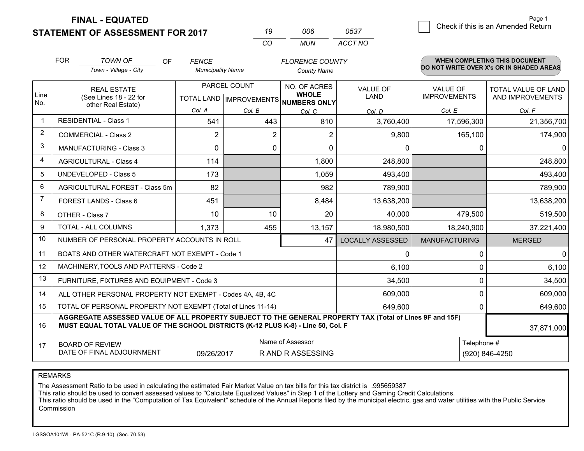**STATEMENT OF ASSESSMENT FOR 2017** 

| 19 | NUE  | 0537    |
|----|------|---------|
| (  | MUN. | ACCT NO |

|                | <b>FOR</b>                                                                                                                                                                                   | <b>TOWN OF</b><br><b>OF</b>                               | <b>FENCE</b>             |        | <b>FLORENCE COUNTY</b>                                   |                         |                      | <b>WHEN COMPLETING THIS DOCUMENT</b><br>DO NOT WRITE OVER X's OR IN SHADED AREAS |
|----------------|----------------------------------------------------------------------------------------------------------------------------------------------------------------------------------------------|-----------------------------------------------------------|--------------------------|--------|----------------------------------------------------------|-------------------------|----------------------|----------------------------------------------------------------------------------|
|                |                                                                                                                                                                                              | Town - Village - City                                     | <b>Municipality Name</b> |        | <b>County Name</b>                                       |                         |                      |                                                                                  |
|                | <b>REAL ESTATE</b>                                                                                                                                                                           |                                                           | PARCEL COUNT             |        | NO. OF ACRES                                             | <b>VALUE OF</b>         | <b>VALUE OF</b>      | <b>TOTAL VALUE OF LAND</b>                                                       |
| Line<br>No.    |                                                                                                                                                                                              | (See Lines 18 - 22 for<br>other Real Estate)              |                          |        | <b>WHOLE</b><br>TOTAL LAND   IMPROVEMENTS   NUMBERS ONLY | LAND                    | <b>IMPROVEMENTS</b>  | AND IMPROVEMENTS                                                                 |
|                |                                                                                                                                                                                              |                                                           | Col. A                   | Col. B | Col. C                                                   | Col. D                  | Col. E               | Col. F                                                                           |
| $\mathbf 1$    |                                                                                                                                                                                              | <b>RESIDENTIAL - Class 1</b>                              | 541                      | 443    | 810                                                      | 3,760,400               | 17,596,300           | 21,356,700                                                                       |
| 2              |                                                                                                                                                                                              | <b>COMMERCIAL - Class 2</b>                               | $\overline{2}$           | 2      | $\overline{2}$                                           | 9,800                   | 165,100              | 174,900                                                                          |
| 3              |                                                                                                                                                                                              | <b>MANUFACTURING - Class 3</b>                            | 0                        | 0      | $\Omega$                                                 | 0                       | 0                    | $\mathbf{0}$                                                                     |
| 4              |                                                                                                                                                                                              | <b>AGRICULTURAL - Class 4</b>                             | 114                      |        | 1,800                                                    | 248,800                 |                      | 248,800                                                                          |
| 5              |                                                                                                                                                                                              | <b>UNDEVELOPED - Class 5</b>                              | 173                      |        | 1,059                                                    | 493,400                 |                      | 493,400                                                                          |
| 6              |                                                                                                                                                                                              | AGRICULTURAL FOREST - Class 5m                            | 82                       |        | 982                                                      | 789,900                 |                      | 789,900                                                                          |
| $\overline{7}$ |                                                                                                                                                                                              | <b>FOREST LANDS - Class 6</b>                             | 451                      |        | 8,484                                                    | 13,638,200              |                      | 13,638,200                                                                       |
| 8              |                                                                                                                                                                                              | OTHER - Class 7                                           | 10                       | 10     | 20                                                       | 40,000                  | 479,500              | 519,500                                                                          |
| 9              |                                                                                                                                                                                              | TOTAL - ALL COLUMNS                                       | 1,373                    | 455    | 13,157                                                   | 18,980,500              | 18,240,900           | 37,221,400                                                                       |
| 10             |                                                                                                                                                                                              | NUMBER OF PERSONAL PROPERTY ACCOUNTS IN ROLL              |                          |        | 47                                                       | <b>LOCALLY ASSESSED</b> | <b>MANUFACTURING</b> | <b>MERGED</b>                                                                    |
| 11             |                                                                                                                                                                                              | BOATS AND OTHER WATERCRAFT NOT EXEMPT - Code 1            |                          |        |                                                          | 0                       | $\Omega$             | 0                                                                                |
| 12             |                                                                                                                                                                                              | MACHINERY, TOOLS AND PATTERNS - Code 2                    |                          |        |                                                          | 6,100                   | $\Omega$             | 6,100                                                                            |
| 13             |                                                                                                                                                                                              | FURNITURE, FIXTURES AND EQUIPMENT - Code 3                |                          |        |                                                          | 34,500                  | 0                    | 34,500                                                                           |
| 14             |                                                                                                                                                                                              | ALL OTHER PERSONAL PROPERTY NOT EXEMPT - Codes 4A, 4B, 4C |                          |        |                                                          | 609,000                 | 0                    | 609,000                                                                          |
| 15             | TOTAL OF PERSONAL PROPERTY NOT EXEMPT (Total of Lines 11-14)                                                                                                                                 |                                                           |                          |        |                                                          |                         | 0                    | 649,600                                                                          |
| 16             | AGGREGATE ASSESSED VALUE OF ALL PROPERTY SUBJECT TO THE GENERAL PROPERTY TAX (Total of Lines 9F and 15F)<br>MUST EQUAL TOTAL VALUE OF THE SCHOOL DISTRICTS (K-12 PLUS K-8) - Line 50, Col. F |                                                           |                          |        |                                                          |                         | 37,871,000           |                                                                                  |
| 17             | Name of Assessor<br><b>BOARD OF REVIEW</b>                                                                                                                                                   |                                                           |                          |        |                                                          | Telephone #             |                      |                                                                                  |
|                | DATE OF FINAL ADJOURNMENT<br><b>RAND RASSESSING</b><br>(920) 846-4250<br>09/26/2017                                                                                                          |                                                           |                          |        |                                                          |                         |                      |                                                                                  |

REMARKS

The Assessment Ratio to be used in calculating the estimated Fair Market Value on tax bills for this tax district is .995659387

This ratio should be used to convert assessed values to "Calculate Equalized Values" in Step 1 of the Lottery and Gaming Credit Calculations.<br>This ratio should be used in the "Computation of Tax Equivalent" schedule of the Commission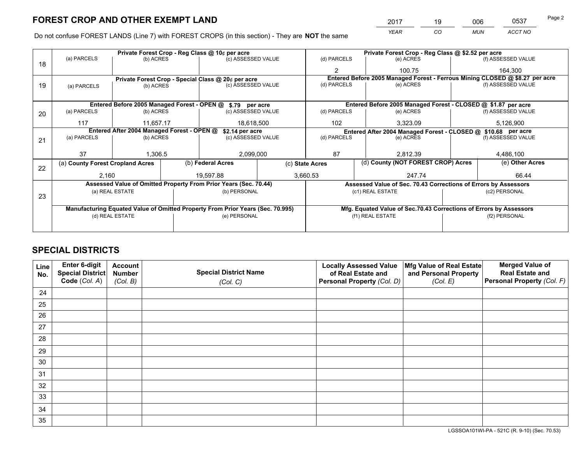*YEAR CO MUN ACCT NO* 2017 <u>19 006 0537</u> Page 2

Do not confuse FOREST LANDS (Line 7) with FOREST CROPS (in this section) - They are **NOT** the same

|    |                                                               |                 |  | Private Forest Crop - Reg Class @ 10¢ per acre                                 | Private Forest Crop - Reg Class @ \$2.52 per acre |                 |  |                                                                    |               |                                                                              |
|----|---------------------------------------------------------------|-----------------|--|--------------------------------------------------------------------------------|---------------------------------------------------|-----------------|--|--------------------------------------------------------------------|---------------|------------------------------------------------------------------------------|
| 18 | (a) PARCELS                                                   | (b) ACRES       |  | (c) ASSESSED VALUE                                                             |                                                   | (d) PARCELS     |  | (e) ACRES                                                          |               | (f) ASSESSED VALUE                                                           |
|    |                                                               |                 |  |                                                                                |                                                   | $\mathfrak{p}$  |  | 100.75                                                             |               | 164,300                                                                      |
|    |                                                               |                 |  | Private Forest Crop - Special Class @ 20¢ per acre                             |                                                   |                 |  |                                                                    |               | Entered Before 2005 Managed Forest - Ferrous Mining CLOSED @ \$8.27 per acre |
| 19 | (a) PARCELS                                                   | (b) ACRES       |  | (c) ASSESSED VALUE                                                             |                                                   | (d) PARCELS     |  | (e) ACRES                                                          |               | (f) ASSESSED VALUE                                                           |
|    |                                                               |                 |  |                                                                                |                                                   |                 |  |                                                                    |               |                                                                              |
|    |                                                               |                 |  | Entered Before 2005 Managed Forest - OPEN @ \$.79 per acre                     |                                                   |                 |  | Entered Before 2005 Managed Forest - CLOSED @ \$1.87 per acre      |               |                                                                              |
| 20 | (a) PARCELS                                                   | (b) ACRES       |  | (c) ASSESSED VALUE                                                             |                                                   | (d) PARCELS     |  | (e) ACRES                                                          |               | (f) ASSESSED VALUE                                                           |
|    | 117                                                           | 11.657.17       |  | 18,618,500                                                                     |                                                   | 102             |  | 3.323.09                                                           |               | 5,126,900                                                                    |
|    | Entered After 2004 Managed Forest - OPEN @<br>\$2.14 per acre |                 |  |                                                                                |                                                   |                 |  | Entered After 2004 Managed Forest - CLOSED @ \$10.68 per acre      |               |                                                                              |
| 21 | (a) PARCELS                                                   | (b) ACRES       |  | (c) ASSESSED VALUE                                                             |                                                   | (d) PARCELS     |  | (e) ACRES                                                          |               | (f) ASSESSED VALUE                                                           |
|    |                                                               |                 |  |                                                                                |                                                   |                 |  |                                                                    |               |                                                                              |
|    | 37                                                            | 1,306.5         |  | 2,099,000                                                                      |                                                   | 87              |  | 2,812.39                                                           |               | 4,486,100                                                                    |
| 22 | (a) County Forest Cropland Acres                              |                 |  | (b) Federal Acres                                                              |                                                   | (c) State Acres |  | (d) County (NOT FOREST CROP) Acres                                 |               | (e) Other Acres                                                              |
|    | 2,160                                                         |                 |  | 19.597.88                                                                      |                                                   | 3,660.53        |  | 247.74                                                             |               | 66.44                                                                        |
|    |                                                               |                 |  | Assessed Value of Omitted Property From Prior Years (Sec. 70.44)               |                                                   |                 |  | Assessed Value of Sec. 70.43 Corrections of Errors by Assessors    |               |                                                                              |
|    |                                                               | (a) REAL ESTATE |  | (b) PERSONAL                                                                   |                                                   |                 |  | (c1) REAL ESTATE                                                   |               | (c2) PERSONAL                                                                |
| 23 |                                                               |                 |  |                                                                                |                                                   |                 |  |                                                                    |               |                                                                              |
|    |                                                               |                 |  | Manufacturing Equated Value of Omitted Property From Prior Years (Sec. 70.995) |                                                   |                 |  | Mfg. Equated Value of Sec.70.43 Corrections of Errors by Assessors |               |                                                                              |
|    | (d) REAL ESTATE                                               |                 |  | (e) PERSONAL                                                                   |                                                   |                 |  | (f1) REAL ESTATE                                                   | (f2) PERSONAL |                                                                              |
|    |                                                               |                 |  |                                                                                |                                                   |                 |  |                                                                    |               |                                                                              |

# **SPECIAL DISTRICTS**

| Line<br>No. | Enter 6-digit<br>Special District<br>Code (Col. A) | <b>Account</b><br><b>Number</b><br>(Col. B) | <b>Special District Name</b><br>(Col. C) | <b>Locally Assessed Value</b><br>of Real Estate and<br>Personal Property (Col. D) | Mfg Value of Real Estate<br>and Personal Property<br>(Col. E) | <b>Merged Value of</b><br><b>Real Estate and</b><br>Personal Property (Col. F) |
|-------------|----------------------------------------------------|---------------------------------------------|------------------------------------------|-----------------------------------------------------------------------------------|---------------------------------------------------------------|--------------------------------------------------------------------------------|
|             |                                                    |                                             |                                          |                                                                                   |                                                               |                                                                                |
| 24          |                                                    |                                             |                                          |                                                                                   |                                                               |                                                                                |
| 25          |                                                    |                                             |                                          |                                                                                   |                                                               |                                                                                |
| 26          |                                                    |                                             |                                          |                                                                                   |                                                               |                                                                                |
| 27          |                                                    |                                             |                                          |                                                                                   |                                                               |                                                                                |
| 28          |                                                    |                                             |                                          |                                                                                   |                                                               |                                                                                |
| 29          |                                                    |                                             |                                          |                                                                                   |                                                               |                                                                                |
| 30          |                                                    |                                             |                                          |                                                                                   |                                                               |                                                                                |
| 31          |                                                    |                                             |                                          |                                                                                   |                                                               |                                                                                |
| 32          |                                                    |                                             |                                          |                                                                                   |                                                               |                                                                                |
| 33          |                                                    |                                             |                                          |                                                                                   |                                                               |                                                                                |
| 34          |                                                    |                                             |                                          |                                                                                   |                                                               |                                                                                |
| 35          |                                                    |                                             |                                          |                                                                                   |                                                               |                                                                                |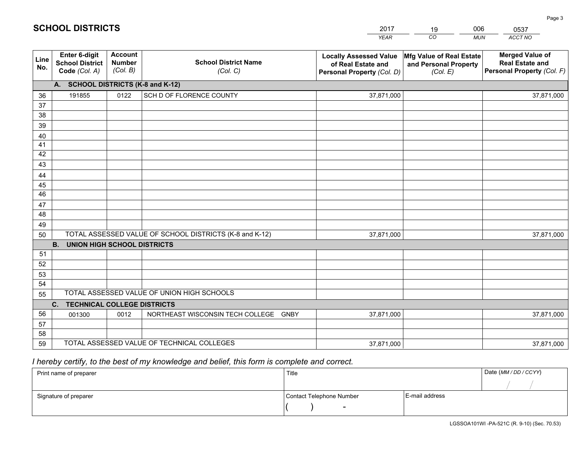|             |                                                          |                                             |                                                         | <b>YEAR</b>                                                                       | CO<br><b>MUN</b>                                              | ACCT NO                                                                        |
|-------------|----------------------------------------------------------|---------------------------------------------|---------------------------------------------------------|-----------------------------------------------------------------------------------|---------------------------------------------------------------|--------------------------------------------------------------------------------|
| Line<br>No. | Enter 6-digit<br><b>School District</b><br>Code (Col. A) | <b>Account</b><br><b>Number</b><br>(Col. B) | <b>School District Name</b><br>(Col. C)                 | <b>Locally Assessed Value</b><br>of Real Estate and<br>Personal Property (Col. D) | Mfg Value of Real Estate<br>and Personal Property<br>(Col. E) | <b>Merged Value of</b><br><b>Real Estate and</b><br>Personal Property (Col. F) |
|             | A. SCHOOL DISTRICTS (K-8 and K-12)                       |                                             |                                                         |                                                                                   |                                                               |                                                                                |
| 36          | 191855                                                   | 0122                                        | SCH D OF FLORENCE COUNTY                                | 37,871,000                                                                        |                                                               | 37,871,000                                                                     |
| 37          |                                                          |                                             |                                                         |                                                                                   |                                                               |                                                                                |
| 38          |                                                          |                                             |                                                         |                                                                                   |                                                               |                                                                                |
| 39          |                                                          |                                             |                                                         |                                                                                   |                                                               |                                                                                |
| 40          |                                                          |                                             |                                                         |                                                                                   |                                                               |                                                                                |
| 41          |                                                          |                                             |                                                         |                                                                                   |                                                               |                                                                                |
| 42          |                                                          |                                             |                                                         |                                                                                   |                                                               |                                                                                |
| 43          |                                                          |                                             |                                                         |                                                                                   |                                                               |                                                                                |
| 44<br>45    |                                                          |                                             |                                                         |                                                                                   |                                                               |                                                                                |
| 46          |                                                          |                                             |                                                         |                                                                                   |                                                               |                                                                                |
| 47          |                                                          |                                             |                                                         |                                                                                   |                                                               |                                                                                |
| 48          |                                                          |                                             |                                                         |                                                                                   |                                                               |                                                                                |
| 49          |                                                          |                                             |                                                         |                                                                                   |                                                               |                                                                                |
| 50          |                                                          |                                             | TOTAL ASSESSED VALUE OF SCHOOL DISTRICTS (K-8 and K-12) | 37,871,000                                                                        |                                                               | 37,871,000                                                                     |
|             | <b>B.</b><br><b>UNION HIGH SCHOOL DISTRICTS</b>          |                                             |                                                         |                                                                                   |                                                               |                                                                                |
| 51          |                                                          |                                             |                                                         |                                                                                   |                                                               |                                                                                |
| 52          |                                                          |                                             |                                                         |                                                                                   |                                                               |                                                                                |
| 53          |                                                          |                                             |                                                         |                                                                                   |                                                               |                                                                                |
| 54          |                                                          |                                             |                                                         |                                                                                   |                                                               |                                                                                |
| 55          |                                                          |                                             | TOTAL ASSESSED VALUE OF UNION HIGH SCHOOLS              |                                                                                   |                                                               |                                                                                |
|             | C. TECHNICAL COLLEGE DISTRICTS                           |                                             |                                                         |                                                                                   |                                                               |                                                                                |
| 56          | 001300                                                   | 0012                                        | NORTHEAST WISCONSIN TECH COLLEGE GNBY                   | 37,871,000                                                                        |                                                               | 37,871,000                                                                     |
| 57<br>58    |                                                          |                                             |                                                         |                                                                                   |                                                               |                                                                                |
| 59          |                                                          |                                             | TOTAL ASSESSED VALUE OF TECHNICAL COLLEGES              | 37,871,000                                                                        |                                                               | 37,871,000                                                                     |
|             |                                                          |                                             |                                                         |                                                                                   |                                                               |                                                                                |

2017

19

006

# *I hereby certify, to the best of my knowledge and belief, this form is complete and correct.*

**SCHOOL DISTRICTS**

| Print name of preparer | Title                    |                | Date (MM / DD / CCYY) |
|------------------------|--------------------------|----------------|-----------------------|
|                        |                          |                |                       |
| Signature of preparer  | Contact Telephone Number | E-mail address |                       |
|                        | $\sim$                   |                |                       |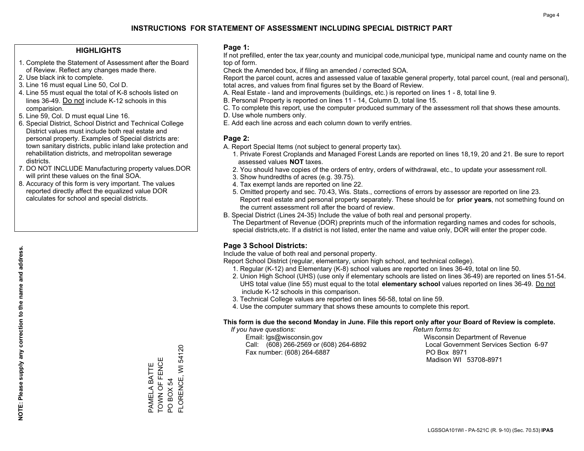#### **HIGHLIGHTS**

- 1. Complete the Statement of Assessment after the Board of Review. Reflect any changes made there.
- 2. Use black ink to complete.
- 3. Line 16 must equal Line 50, Col D.
- 4. Line 55 must equal the total of K-8 schools listed on lines 36-49. Do not include K-12 schools in this comparision.
- 5. Line 59, Col. D must equal Line 16.
- 6. Special District, School District and Technical College District values must include both real estate and personal property. Examples of Special districts are: town sanitary districts, public inland lake protection and rehabilitation districts, and metropolitan sewerage districts.
- 7. DO NOT INCLUDE Manufacturing property values.DOR will print these values on the final SOA.

PAMELA BATTE TOWN OF FENCE

PAMELA BATTE<br>TOWN OF FENCE

Ш

PO BOX 54

PO BOX 54

FLORENCE, WI 54120

FLORENCE, WI 54120

 8. Accuracy of this form is very important. The values reported directly affect the equalized value DOR calculates for school and special districts.

#### **Page 1:**

 If not prefilled, enter the tax year,county and municipal code,municipal type, municipal name and county name on the top of form.

Check the Amended box, if filing an amended / corrected SOA.

 Report the parcel count, acres and assessed value of taxable general property, total parcel count, (real and personal), total acres, and values from final figures set by the Board of Review.

- A. Real Estate land and improvements (buildings, etc.) is reported on lines 1 8, total line 9.
- B. Personal Property is reported on lines 11 14, Column D, total line 15.
- C. To complete this report, use the computer produced summary of the assessment roll that shows these amounts.
- D. Use whole numbers only.
- E. Add each line across and each column down to verify entries.

#### **Page 2:**

- A. Report Special Items (not subject to general property tax).
- 1. Private Forest Croplands and Managed Forest Lands are reported on lines 18,19, 20 and 21. Be sure to report assessed values **NOT** taxes.
- 2. You should have copies of the orders of entry, orders of withdrawal, etc., to update your assessment roll.
	- 3. Show hundredths of acres (e.g. 39.75).
- 4. Tax exempt lands are reported on line 22.
- 5. Omitted property and sec. 70.43, Wis. Stats., corrections of errors by assessor are reported on line 23. Report real estate and personal property separately. These should be for **prior years**, not something found on the current assessment roll after the board of review.
- B. Special District (Lines 24-35) Include the value of both real and personal property.
- The Department of Revenue (DOR) preprints much of the information regarding names and codes for schools, special districts,etc. If a district is not listed, enter the name and value only, DOR will enter the proper code.

### **Page 3 School Districts:**

Include the value of both real and personal property.

Report School District (regular, elementary, union high school, and technical college).

- 1. Regular (K-12) and Elementary (K-8) school values are reported on lines 36-49, total on line 50.
- 2. Union High School (UHS) (use only if elementary schools are listed on lines 36-49) are reported on lines 51-54. UHS total value (line 55) must equal to the total **elementary school** values reported on lines 36-49. Do notinclude K-12 schools in this comparison.
- 3. Technical College values are reported on lines 56-58, total on line 59.
- 4. Use the computer summary that shows these amounts to complete this report.

#### **This form is due the second Monday in June. File this report only after your Board of Review is complete.**

 *If you have questions: Return forms to:*

 Email: lgs@wisconsin.gov Wisconsin Department of RevenueCall:  $(608)$  266-2569 or  $(608)$  264-6892 Fax number: (608) 264-6887 PO Box 8971

Local Government Services Section 6-97 Madison WI 53708-8971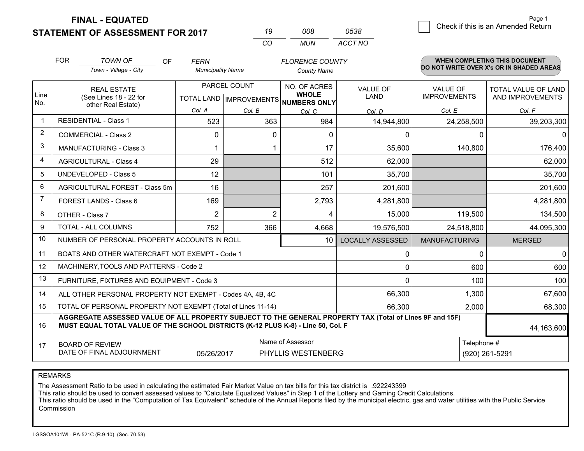**STATEMENT OF ASSESSMENT FOR 2017** 

| 19  | 008. | 0538    |
|-----|------|---------|
| CO. | MUN  | ACCT NO |

|                | <b>FOR</b>                                                                                                                                                                                   | <b>TOWN OF</b><br>OF                                         | <b>FERN</b>              |                | <b>FLORENCE COUNTY</b>                              |                         |                      | <b>WHEN COMPLETING THIS DOCUMENT</b><br>DO NOT WRITE OVER X's OR IN SHADED AREAS |
|----------------|----------------------------------------------------------------------------------------------------------------------------------------------------------------------------------------------|--------------------------------------------------------------|--------------------------|----------------|-----------------------------------------------------|-------------------------|----------------------|----------------------------------------------------------------------------------|
|                |                                                                                                                                                                                              | Town - Village - City                                        | <b>Municipality Name</b> |                | <b>County Name</b>                                  |                         |                      |                                                                                  |
|                |                                                                                                                                                                                              | PARCEL COUNT<br><b>REAL ESTATE</b>                           |                          |                | NO. OF ACRES                                        | <b>VALUE OF</b>         | VALUE OF             | TOTAL VALUE OF LAND                                                              |
| Line<br>No.    |                                                                                                                                                                                              | (See Lines 18 - 22 for<br>other Real Estate)                 |                          |                | <b>WHOLE</b><br>TOTAL LAND MPROVEMENTS NUMBERS ONLY | <b>LAND</b>             | <b>IMPROVEMENTS</b>  | AND IMPROVEMENTS                                                                 |
|                |                                                                                                                                                                                              |                                                              | Col. A                   | Col. B         | Col. C                                              | Col. D                  | Col. E               | Col. F                                                                           |
| -1             |                                                                                                                                                                                              | <b>RESIDENTIAL - Class 1</b>                                 | 523                      | 363            | 984                                                 | 14,944,800              | 24,258,500           | 39,203,300                                                                       |
| 2              |                                                                                                                                                                                              | <b>COMMERCIAL - Class 2</b>                                  | $\Omega$                 | $\Omega$       | $\Omega$                                            | $\Omega$                | ∩                    | $\Omega$                                                                         |
| 3              |                                                                                                                                                                                              | MANUFACTURING - Class 3                                      |                          |                | 17                                                  | 35,600                  | 140,800              | 176,400                                                                          |
| 4              |                                                                                                                                                                                              | <b>AGRICULTURAL - Class 4</b>                                | 29                       |                | 512                                                 | 62,000                  |                      | 62,000                                                                           |
| 5              |                                                                                                                                                                                              | UNDEVELOPED - Class 5                                        | 12                       |                | 101                                                 | 35,700                  |                      | 35,700                                                                           |
| 6              |                                                                                                                                                                                              | AGRICULTURAL FOREST - Class 5m                               | 16                       |                | 257                                                 | 201,600                 |                      | 201,600                                                                          |
| $\overline{7}$ |                                                                                                                                                                                              | FOREST LANDS - Class 6                                       | 169                      |                | 2,793                                               | 4,281,800               |                      | 4,281,800                                                                        |
| 8              |                                                                                                                                                                                              | OTHER - Class 7                                              | $\overline{2}$           | $\overline{2}$ | 4                                                   | 15,000                  | 119,500              | 134,500                                                                          |
| 9              |                                                                                                                                                                                              | TOTAL - ALL COLUMNS                                          | 752                      | 366            | 4,668                                               | 19,576,500              | 24,518,800           | 44,095,300                                                                       |
| 10             |                                                                                                                                                                                              | NUMBER OF PERSONAL PROPERTY ACCOUNTS IN ROLL                 |                          |                | 10 <sup>1</sup>                                     | <b>LOCALLY ASSESSED</b> | <b>MANUFACTURING</b> | <b>MERGED</b>                                                                    |
| 11             |                                                                                                                                                                                              | BOATS AND OTHER WATERCRAFT NOT EXEMPT - Code 1               |                          |                |                                                     | 0                       | 0                    | $\mathbf 0$                                                                      |
| 12             |                                                                                                                                                                                              | MACHINERY, TOOLS AND PATTERNS - Code 2                       |                          |                |                                                     | 0                       | 600                  | 600                                                                              |
| 13             |                                                                                                                                                                                              | FURNITURE, FIXTURES AND EQUIPMENT - Code 3                   |                          |                |                                                     | $\Omega$                | 100                  | 100                                                                              |
| 14             |                                                                                                                                                                                              | ALL OTHER PERSONAL PROPERTY NOT EXEMPT - Codes 4A, 4B, 4C    |                          |                |                                                     | 66,300                  | 1,300                | 67,600                                                                           |
| 15             |                                                                                                                                                                                              | TOTAL OF PERSONAL PROPERTY NOT EXEMPT (Total of Lines 11-14) |                          | 66,300         | 2,000                                               | 68,300                  |                      |                                                                                  |
| 16             | AGGREGATE ASSESSED VALUE OF ALL PROPERTY SUBJECT TO THE GENERAL PROPERTY TAX (Total of Lines 9F and 15F)<br>MUST EQUAL TOTAL VALUE OF THE SCHOOL DISTRICTS (K-12 PLUS K-8) - Line 50, Col. F |                                                              |                          |                |                                                     |                         | 44,163,600           |                                                                                  |
| 17             |                                                                                                                                                                                              | <b>BOARD OF REVIEW</b>                                       |                          |                | Name of Assessor                                    |                         | Telephone #          |                                                                                  |
|                |                                                                                                                                                                                              | DATE OF FINAL ADJOURNMENT                                    | 05/26/2017               |                | PHYLLIS WESTENBERG                                  |                         |                      | (920) 261-5291                                                                   |

REMARKS

The Assessment Ratio to be used in calculating the estimated Fair Market Value on tax bills for this tax district is .922243399

This ratio should be used to convert assessed values to "Calculate Equalized Values" in Step 1 of the Lottery and Gaming Credit Calculations.<br>This ratio should be used in the "Computation of Tax Equivalent" schedule of the **Commission**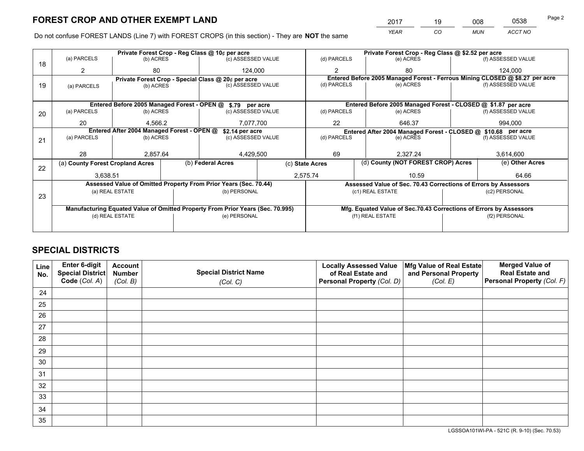*YEAR CO MUN ACCT NO* <sup>2017</sup> <sup>19</sup> <sup>008</sup> <sup>0538</sup>

Do not confuse FOREST LANDS (Line 7) with FOREST CROPS (in this section) - They are **NOT** the same

|    |                                                               |                                             |  | Private Forest Crop - Reg Class @ 10¢ per acre                                 |           |                                                                    | Private Forest Crop - Reg Class @ \$2.52 per acre               |  |                                                                              |  |
|----|---------------------------------------------------------------|---------------------------------------------|--|--------------------------------------------------------------------------------|-----------|--------------------------------------------------------------------|-----------------------------------------------------------------|--|------------------------------------------------------------------------------|--|
| 18 | (a) PARCELS                                                   | (b) ACRES                                   |  | (c) ASSESSED VALUE                                                             |           | (d) PARCELS                                                        | (e) ACRES                                                       |  | (f) ASSESSED VALUE                                                           |  |
|    |                                                               | 80                                          |  | 124,000                                                                        |           | $\mathfrak{p}$                                                     | 80                                                              |  | 124.000                                                                      |  |
|    |                                                               |                                             |  | Private Forest Crop - Special Class @ 20¢ per acre                             |           |                                                                    |                                                                 |  | Entered Before 2005 Managed Forest - Ferrous Mining CLOSED @ \$8.27 per acre |  |
| 19 | (a) PARCELS                                                   | (c) ASSESSED VALUE<br>(b) ACRES             |  | (d) PARCELS                                                                    | (e) ACRES |                                                                    | (f) ASSESSED VALUE                                              |  |                                                                              |  |
|    |                                                               |                                             |  |                                                                                |           |                                                                    |                                                                 |  |                                                                              |  |
|    |                                                               | Entered Before 2005 Managed Forest - OPEN @ |  | \$.79 per acre                                                                 |           |                                                                    | Entered Before 2005 Managed Forest - CLOSED @ \$1.87 per acre   |  |                                                                              |  |
| 20 | (a) PARCELS                                                   | (b) ACRES                                   |  | (c) ASSESSED VALUE                                                             |           | (d) PARCELS                                                        | (e) ACRES                                                       |  | (f) ASSESSED VALUE                                                           |  |
|    | 20                                                            | 4.566.2                                     |  | 7.077.700                                                                      |           | 22                                                                 | 646.37                                                          |  | 994.000                                                                      |  |
|    | Entered After 2004 Managed Forest - OPEN @<br>\$2.14 per acre |                                             |  |                                                                                |           | Entered After 2004 Managed Forest - CLOSED @ \$10.68 per acre      |                                                                 |  |                                                                              |  |
| 21 | (a) PARCELS                                                   | (b) ACRES                                   |  | (c) ASSESSED VALUE                                                             |           | (d) PARCELS<br>(e) ACRES                                           |                                                                 |  | (f) ASSESSED VALUE                                                           |  |
|    |                                                               |                                             |  |                                                                                |           |                                                                    |                                                                 |  |                                                                              |  |
|    | 28                                                            | 2.857.64                                    |  | 4,429,500                                                                      |           | 69                                                                 | 2.327.24                                                        |  | 3,614,600                                                                    |  |
| 22 |                                                               | (a) County Forest Cropland Acres            |  | (b) Federal Acres                                                              |           | (c) State Acres                                                    | (d) County (NOT FOREST CROP) Acres                              |  | (e) Other Acres                                                              |  |
|    | 3,638.51                                                      |                                             |  | 2,575.74<br>10.59                                                              |           |                                                                    | 64.66                                                           |  |                                                                              |  |
|    |                                                               |                                             |  | Assessed Value of Omitted Property From Prior Years (Sec. 70.44)               |           |                                                                    | Assessed Value of Sec. 70.43 Corrections of Errors by Assessors |  |                                                                              |  |
|    |                                                               | (a) REAL ESTATE                             |  | (b) PERSONAL                                                                   |           |                                                                    | (c1) REAL ESTATE                                                |  | (c2) PERSONAL                                                                |  |
| 23 |                                                               |                                             |  |                                                                                |           |                                                                    |                                                                 |  |                                                                              |  |
|    |                                                               |                                             |  | Manufacturing Equated Value of Omitted Property From Prior Years (Sec. 70.995) |           | Mfg. Equated Value of Sec.70.43 Corrections of Errors by Assessors |                                                                 |  |                                                                              |  |
|    | (d) REAL ESTATE                                               |                                             |  | (e) PERSONAL                                                                   |           |                                                                    | (f1) REAL ESTATE                                                |  | (f2) PERSONAL                                                                |  |
|    |                                                               |                                             |  |                                                                                |           |                                                                    |                                                                 |  |                                                                              |  |

# **SPECIAL DISTRICTS**

| Line<br>No. | Enter 6-digit<br>Special District<br>Code (Col. A) | <b>Account</b><br><b>Number</b><br>(Col. B) | <b>Special District Name</b><br>(Col. C) | <b>Locally Assessed Value</b><br>of Real Estate and<br>Personal Property (Col. D) | Mfg Value of Real Estate<br>and Personal Property<br>(Col. E) | <b>Merged Value of</b><br><b>Real Estate and</b><br>Personal Property (Col. F) |
|-------------|----------------------------------------------------|---------------------------------------------|------------------------------------------|-----------------------------------------------------------------------------------|---------------------------------------------------------------|--------------------------------------------------------------------------------|
|             |                                                    |                                             |                                          |                                                                                   |                                                               |                                                                                |
| 24          |                                                    |                                             |                                          |                                                                                   |                                                               |                                                                                |
| 25          |                                                    |                                             |                                          |                                                                                   |                                                               |                                                                                |
| 26          |                                                    |                                             |                                          |                                                                                   |                                                               |                                                                                |
| 27          |                                                    |                                             |                                          |                                                                                   |                                                               |                                                                                |
| 28          |                                                    |                                             |                                          |                                                                                   |                                                               |                                                                                |
| 29          |                                                    |                                             |                                          |                                                                                   |                                                               |                                                                                |
| 30          |                                                    |                                             |                                          |                                                                                   |                                                               |                                                                                |
| 31          |                                                    |                                             |                                          |                                                                                   |                                                               |                                                                                |
| 32          |                                                    |                                             |                                          |                                                                                   |                                                               |                                                                                |
| 33          |                                                    |                                             |                                          |                                                                                   |                                                               |                                                                                |
| 34          |                                                    |                                             |                                          |                                                                                   |                                                               |                                                                                |
| 35          |                                                    |                                             |                                          |                                                                                   |                                                               |                                                                                |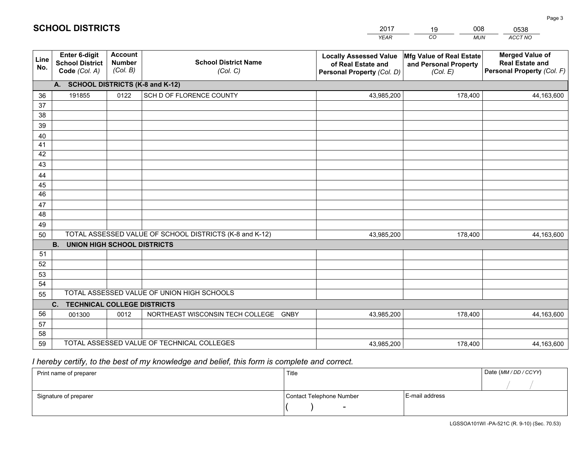|                 |                                                                 |                                             |                                                         | <b>YEAR</b>                                                                       | CO<br><b>MUN</b>                                              | ACCT NO                                                                        |
|-----------------|-----------------------------------------------------------------|---------------------------------------------|---------------------------------------------------------|-----------------------------------------------------------------------------------|---------------------------------------------------------------|--------------------------------------------------------------------------------|
| Line<br>No.     | <b>Enter 6-digit</b><br><b>School District</b><br>Code (Col. A) | <b>Account</b><br><b>Number</b><br>(Col. B) | <b>School District Name</b><br>(Col. C)                 | <b>Locally Assessed Value</b><br>of Real Estate and<br>Personal Property (Col. D) | Mfg Value of Real Estate<br>and Personal Property<br>(Col. E) | <b>Merged Value of</b><br><b>Real Estate and</b><br>Personal Property (Col. F) |
|                 | A. SCHOOL DISTRICTS (K-8 and K-12)                              |                                             |                                                         |                                                                                   |                                                               |                                                                                |
| 36              | 191855                                                          | 0122                                        | SCH D OF FLORENCE COUNTY                                | 43,985,200                                                                        | 178,400                                                       | 44,163,600                                                                     |
| 37              |                                                                 |                                             |                                                         |                                                                                   |                                                               |                                                                                |
| 38              |                                                                 |                                             |                                                         |                                                                                   |                                                               |                                                                                |
| 39              |                                                                 |                                             |                                                         |                                                                                   |                                                               |                                                                                |
| 40              |                                                                 |                                             |                                                         |                                                                                   |                                                               |                                                                                |
| 41<br>42        |                                                                 |                                             |                                                         |                                                                                   |                                                               |                                                                                |
| 43              |                                                                 |                                             |                                                         |                                                                                   |                                                               |                                                                                |
| 44              |                                                                 |                                             |                                                         |                                                                                   |                                                               |                                                                                |
| 45              |                                                                 |                                             |                                                         |                                                                                   |                                                               |                                                                                |
| $\overline{46}$ |                                                                 |                                             |                                                         |                                                                                   |                                                               |                                                                                |
| 47              |                                                                 |                                             |                                                         |                                                                                   |                                                               |                                                                                |
| 48              |                                                                 |                                             |                                                         |                                                                                   |                                                               |                                                                                |
| 49              |                                                                 |                                             |                                                         |                                                                                   |                                                               |                                                                                |
| 50              |                                                                 |                                             | TOTAL ASSESSED VALUE OF SCHOOL DISTRICTS (K-8 and K-12) | 43,985,200                                                                        | 178,400                                                       | 44,163,600                                                                     |
|                 | <b>B.</b><br><b>UNION HIGH SCHOOL DISTRICTS</b>                 |                                             |                                                         |                                                                                   |                                                               |                                                                                |
| 51              |                                                                 |                                             |                                                         |                                                                                   |                                                               |                                                                                |
| 52              |                                                                 |                                             |                                                         |                                                                                   |                                                               |                                                                                |
| 53              |                                                                 |                                             |                                                         |                                                                                   |                                                               |                                                                                |
| 54              |                                                                 |                                             | TOTAL ASSESSED VALUE OF UNION HIGH SCHOOLS              |                                                                                   |                                                               |                                                                                |
| 55              |                                                                 |                                             |                                                         |                                                                                   |                                                               |                                                                                |
| 56              | C.<br><b>TECHNICAL COLLEGE DISTRICTS</b><br>001300              | 0012                                        | NORTHEAST WISCONSIN TECH COLLEGE<br><b>GNBY</b>         | 43,985,200                                                                        | 178,400                                                       | 44,163,600                                                                     |
| 57              |                                                                 |                                             |                                                         |                                                                                   |                                                               |                                                                                |
| 58              |                                                                 |                                             |                                                         |                                                                                   |                                                               |                                                                                |
| 59              |                                                                 |                                             | TOTAL ASSESSED VALUE OF TECHNICAL COLLEGES              | 43,985,200                                                                        | 178,400                                                       | 44,163,600                                                                     |

2017

19

008

# *I hereby certify, to the best of my knowledge and belief, this form is complete and correct.*

**SCHOOL DISTRICTS**

| Print name of preparer | Title                    |                | Date (MM / DD / CCYY) |
|------------------------|--------------------------|----------------|-----------------------|
|                        |                          |                |                       |
| Signature of preparer  | Contact Telephone Number | E-mail address |                       |
|                        | $\overline{\phantom{0}}$ |                |                       |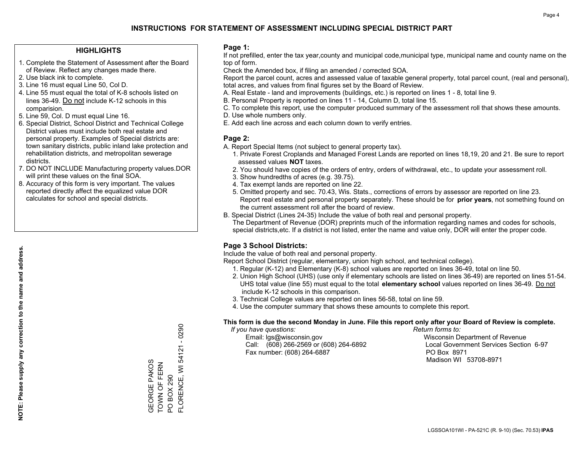#### **HIGHLIGHTS**

- 1. Complete the Statement of Assessment after the Board of Review. Reflect any changes made there.
- 2. Use black ink to complete.
- 3. Line 16 must equal Line 50, Col D.
- 4. Line 55 must equal the total of K-8 schools listed on lines 36-49. Do not include K-12 schools in this comparision.
- 5. Line 59, Col. D must equal Line 16.
- 6. Special District, School District and Technical College District values must include both real estate and personal property. Examples of Special districts are: town sanitary districts, public inland lake protection and rehabilitation districts, and metropolitan sewerage districts.
- 7. DO NOT INCLUDE Manufacturing property values.DOR will print these values on the final SOA.
- 8. Accuracy of this form is very important. The values reported directly affect the equalized value DOR calculates for school and special districts.

#### **Page 1:**

 If not prefilled, enter the tax year,county and municipal code,municipal type, municipal name and county name on the top of form.

Check the Amended box, if filing an amended / corrected SOA.

 Report the parcel count, acres and assessed value of taxable general property, total parcel count, (real and personal), total acres, and values from final figures set by the Board of Review.

- A. Real Estate land and improvements (buildings, etc.) is reported on lines 1 8, total line 9.
- B. Personal Property is reported on lines 11 14, Column D, total line 15.
- C. To complete this report, use the computer produced summary of the assessment roll that shows these amounts.
- D. Use whole numbers only.
- E. Add each line across and each column down to verify entries.

#### **Page 2:**

- A. Report Special Items (not subject to general property tax).
- 1. Private Forest Croplands and Managed Forest Lands are reported on lines 18,19, 20 and 21. Be sure to report assessed values **NOT** taxes.
- 2. You should have copies of the orders of entry, orders of withdrawal, etc., to update your assessment roll.
	- 3. Show hundredths of acres (e.g. 39.75).
- 4. Tax exempt lands are reported on line 22.
- 5. Omitted property and sec. 70.43, Wis. Stats., corrections of errors by assessor are reported on line 23. Report real estate and personal property separately. These should be for **prior years**, not something found on the current assessment roll after the board of review.
- B. Special District (Lines 24-35) Include the value of both real and personal property.
- The Department of Revenue (DOR) preprints much of the information regarding names and codes for schools, special districts,etc. If a district is not listed, enter the name and value only, DOR will enter the proper code.

### **Page 3 School Districts:**

Include the value of both real and personal property.

Report School District (regular, elementary, union high school, and technical college).

- 1. Regular (K-12) and Elementary (K-8) school values are reported on lines 36-49, total on line 50.
- 2. Union High School (UHS) (use only if elementary schools are listed on lines 36-49) are reported on lines 51-54. UHS total value (line 55) must equal to the total **elementary school** values reported on lines 36-49. Do notinclude K-12 schools in this comparison.
- 3. Technical College values are reported on lines 56-58, total on line 59.
- 4. Use the computer summary that shows these amounts to complete this report.

#### **This form is due the second Monday in June. File this report only after your Board of Review is complete.**

 *If you have questions: Return forms to:*

 Email: lgs@wisconsin.gov Wisconsin Department of RevenueCall:  $(608)$  266-2569 or  $(608)$  264-6892 Fax number: (608) 264-6887 PO Box 8971

Local Government Services Section 6-97 Madison WI 53708-8971

FLORENCE, WI 54121 - 0290 FLORENCE, WI 54121 - 0290 GEORGE PAKOS<br>TOWN OF FERN GEORGE PAKOS TOWN OF FERN PO BOX 290 PO BOX 290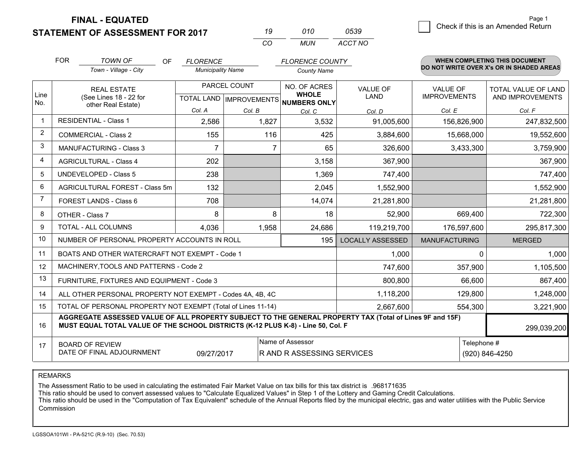**STATEMENT OF ASSESSMENT FOR 2017** 

| 19  | 010 | 0539    |
|-----|-----|---------|
| CO. | MUN | ACCT NO |

|                | <b>FOR</b>                                                                                                                                                                                   | <b>TOWN OF</b><br><b>OF</b>                                  | <b>FLORENCE</b>          |              | <b>FLORENCE COUNTY</b>                   |                         |                      | <b>WHEN COMPLETING THIS DOCUMENT</b>     |
|----------------|----------------------------------------------------------------------------------------------------------------------------------------------------------------------------------------------|--------------------------------------------------------------|--------------------------|--------------|------------------------------------------|-------------------------|----------------------|------------------------------------------|
|                |                                                                                                                                                                                              | Town - Village - City                                        | <b>Municipality Name</b> |              | <b>County Name</b>                       |                         |                      | DO NOT WRITE OVER X's OR IN SHADED AREAS |
| Line           |                                                                                                                                                                                              | <b>REAL ESTATE</b>                                           |                          | PARCEL COUNT | NO. OF ACRES<br><b>WHOLE</b>             | <b>VALUE OF</b>         | <b>VALUE OF</b>      | <b>TOTAL VALUE OF LAND</b>               |
| No.            |                                                                                                                                                                                              | (See Lines 18 - 22 for<br>other Real Estate)                 |                          |              | TOTAL LAND   IMPROVEMENTS   NUMBERS ONLY | LAND                    | <b>IMPROVEMENTS</b>  | AND IMPROVEMENTS                         |
|                |                                                                                                                                                                                              |                                                              | Col. A                   | Col. B       | Col. C                                   | Col. D                  | Col. E               | Col. F                                   |
| $\mathbf{1}$   |                                                                                                                                                                                              | <b>RESIDENTIAL - Class 1</b>                                 | 2,586                    | 1,827        | 3,532                                    | 91,005,600              | 156,826,900          | 247,832,500                              |
| $\overline{2}$ |                                                                                                                                                                                              | <b>COMMERCIAL - Class 2</b>                                  | 155                      | 116          | 425                                      | 3,884,600               | 15,668,000           | 19,552,600                               |
| 3              |                                                                                                                                                                                              | <b>MANUFACTURING - Class 3</b>                               | $\overline{7}$           |              | 65                                       | 326,600                 | 3,433,300            | 3,759,900                                |
| 4              |                                                                                                                                                                                              | <b>AGRICULTURAL - Class 4</b>                                | 202                      |              | 3,158                                    | 367,900                 |                      | 367,900                                  |
| 5              |                                                                                                                                                                                              | <b>UNDEVELOPED - Class 5</b>                                 | 238                      |              | 1,369                                    | 747,400                 |                      | 747,400                                  |
| 6              |                                                                                                                                                                                              | AGRICULTURAL FOREST - Class 5m                               | 132                      |              | 2,045                                    | 1,552,900               |                      | 1,552,900                                |
| $\overline{7}$ |                                                                                                                                                                                              | FOREST LANDS - Class 6                                       | 708                      |              | 14,074                                   | 21,281,800              |                      | 21,281,800                               |
| 8              |                                                                                                                                                                                              | OTHER - Class 7                                              | 8                        | 8            | 18                                       | 52,900                  | 669,400              | 722,300                                  |
| 9              |                                                                                                                                                                                              | TOTAL - ALL COLUMNS                                          | 4,036                    | 1,958        | 24,686                                   | 119,219,700             | 176,597,600          | 295,817,300                              |
| 10             |                                                                                                                                                                                              | NUMBER OF PERSONAL PROPERTY ACCOUNTS IN ROLL                 |                          |              | 195                                      | <b>LOCALLY ASSESSED</b> | <b>MANUFACTURING</b> | <b>MERGED</b>                            |
| 11             |                                                                                                                                                                                              | BOATS AND OTHER WATERCRAFT NOT EXEMPT - Code 1               |                          |              |                                          | 1,000                   | $\Omega$             | 1,000                                    |
| 12             |                                                                                                                                                                                              | MACHINERY, TOOLS AND PATTERNS - Code 2                       |                          |              |                                          | 747,600                 | 357,900              | 1,105,500                                |
| 13             |                                                                                                                                                                                              | FURNITURE, FIXTURES AND EQUIPMENT - Code 3                   |                          |              |                                          | 800,800                 | 66,600               | 867,400                                  |
| 14             |                                                                                                                                                                                              | ALL OTHER PERSONAL PROPERTY NOT EXEMPT - Codes 4A, 4B, 4C    |                          |              |                                          | 1,118,200               | 129,800              | 1,248,000                                |
| 15             |                                                                                                                                                                                              | TOTAL OF PERSONAL PROPERTY NOT EXEMPT (Total of Lines 11-14) |                          |              |                                          | 2,667,600               | 554,300              | 3,221,900                                |
| 16             | AGGREGATE ASSESSED VALUE OF ALL PROPERTY SUBJECT TO THE GENERAL PROPERTY TAX (Total of Lines 9F and 15F)<br>MUST EQUAL TOTAL VALUE OF THE SCHOOL DISTRICTS (K-12 PLUS K-8) - Line 50, Col. F |                                                              |                          |              |                                          |                         |                      | 299,039,200                              |
| 17             | Name of Assessor<br>Telephone #<br><b>BOARD OF REVIEW</b><br>DATE OF FINAL ADJOURNMENT<br>09/27/2017<br>R AND R ASSESSING SERVICES<br>(920) 846-4250                                         |                                                              |                          |              |                                          |                         |                      |                                          |

#### REMARKS

The Assessment Ratio to be used in calculating the estimated Fair Market Value on tax bills for this tax district is .968171635

This ratio should be used to convert assessed values to "Calculate Equalized Values" in Step 1 of the Lottery and Gaming Credit Calculations.<br>This ratio should be used in the "Computation of Tax Equivalent" schedule of the Commission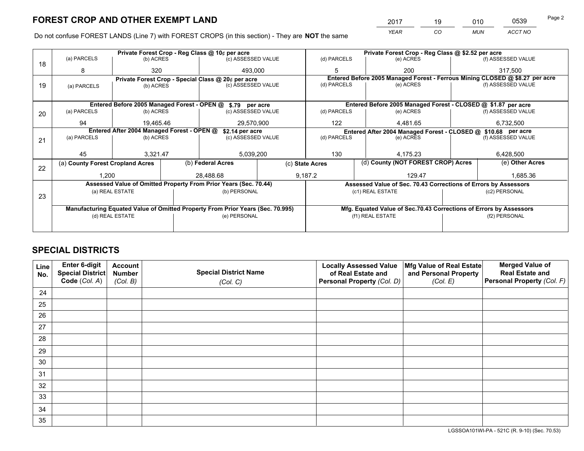*YEAR CO MUN ACCT NO* <sup>2017</sup> <sup>19</sup> <sup>010</sup> <sup>0539</sup>

Do not confuse FOREST LANDS (Line 7) with FOREST CROPS (in this section) - They are **NOT** the same

|    |                                                                                |                                            |  | Private Forest Crop - Reg Class @ 10¢ per acre                   |                                       | Private Forest Crop - Reg Class @ \$2.52 per acre |                                                                              |  |                    |  |
|----|--------------------------------------------------------------------------------|--------------------------------------------|--|------------------------------------------------------------------|---------------------------------------|---------------------------------------------------|------------------------------------------------------------------------------|--|--------------------|--|
| 18 | (a) PARCELS                                                                    | (b) ACRES                                  |  | (c) ASSESSED VALUE                                               |                                       | (d) PARCELS                                       | (e) ACRES                                                                    |  | (f) ASSESSED VALUE |  |
|    | 8                                                                              | 320                                        |  | 493.000                                                          |                                       | 5                                                 | 200                                                                          |  | 317.500            |  |
|    |                                                                                |                                            |  | Private Forest Crop - Special Class @ 20¢ per acre               |                                       |                                                   | Entered Before 2005 Managed Forest - Ferrous Mining CLOSED @ \$8.27 per acre |  |                    |  |
| 19 | (a) PARCELS                                                                    | (b) ACRES                                  |  | (c) ASSESSED VALUE                                               |                                       | (d) PARCELS                                       | (e) ACRES                                                                    |  | (f) ASSESSED VALUE |  |
|    |                                                                                |                                            |  |                                                                  |                                       |                                                   |                                                                              |  |                    |  |
|    |                                                                                |                                            |  | Entered Before 2005 Managed Forest - OPEN @ \$.79 per acre       |                                       |                                                   | Entered Before 2005 Managed Forest - CLOSED @ \$1.87 per acre                |  |                    |  |
| 20 | (a) PARCELS                                                                    | (b) ACRES                                  |  | (c) ASSESSED VALUE                                               |                                       | (d) PARCELS                                       | (e) ACRES                                                                    |  | (f) ASSESSED VALUE |  |
|    | 94                                                                             | 19.465.46                                  |  | 29.570.900                                                       |                                       | 122                                               | 4.481.65                                                                     |  | 6,732,500          |  |
|    |                                                                                | Entered After 2004 Managed Forest - OPEN @ |  |                                                                  |                                       |                                                   |                                                                              |  |                    |  |
|    |                                                                                | (a) PARCELS<br>(b) ACRES                   |  |                                                                  | \$2.14 per acre<br>(c) ASSESSED VALUE |                                                   | Entered After 2004 Managed Forest - CLOSED @ \$10.68 per acre<br>(e) ACRES   |  | (f) ASSESSED VALUE |  |
| 21 |                                                                                |                                            |  |                                                                  |                                       | (d) PARCELS                                       |                                                                              |  |                    |  |
|    |                                                                                |                                            |  |                                                                  |                                       |                                                   |                                                                              |  |                    |  |
|    | 45                                                                             | 3.321.47                                   |  | 5,039,200                                                        |                                       | 130<br>4.175.23                                   |                                                                              |  | 6,428,500          |  |
|    | (a) County Forest Cropland Acres                                               |                                            |  | (b) Federal Acres                                                | (c) State Acres                       |                                                   | (d) County (NOT FOREST CROP) Acres                                           |  | (e) Other Acres    |  |
| 22 | 1,200                                                                          |                                            |  | 28,488.68                                                        |                                       | 9,187.2                                           | 129.47                                                                       |  | 1,685.36           |  |
|    |                                                                                |                                            |  |                                                                  |                                       |                                                   |                                                                              |  |                    |  |
|    |                                                                                |                                            |  | Assessed Value of Omitted Property From Prior Years (Sec. 70.44) |                                       |                                                   | Assessed Value of Sec. 70.43 Corrections of Errors by Assessors              |  |                    |  |
| 23 |                                                                                | (a) REAL ESTATE                            |  | (b) PERSONAL                                                     |                                       | (c1) REAL ESTATE                                  |                                                                              |  | (c2) PERSONAL      |  |
|    |                                                                                |                                            |  |                                                                  |                                       |                                                   |                                                                              |  |                    |  |
|    | Manufacturing Equated Value of Omitted Property From Prior Years (Sec. 70.995) |                                            |  |                                                                  |                                       |                                                   | Mfg. Equated Value of Sec.70.43 Corrections of Errors by Assessors           |  |                    |  |
|    |                                                                                | (d) REAL ESTATE                            |  | (e) PERSONAL                                                     |                                       | (f1) REAL ESTATE                                  |                                                                              |  | (f2) PERSONAL      |  |
|    |                                                                                |                                            |  |                                                                  |                                       |                                                   |                                                                              |  |                    |  |
|    |                                                                                |                                            |  |                                                                  |                                       |                                                   |                                                                              |  |                    |  |

# **SPECIAL DISTRICTS**

| Line<br>No. | Enter 6-digit<br>Special District<br>Code (Col. A) | <b>Account</b><br><b>Number</b><br>(Col. B) | <b>Special District Name</b><br>(Col. C) | <b>Locally Assessed Value</b><br>of Real Estate and<br>Personal Property (Col. D) | Mfg Value of Real Estate<br>and Personal Property<br>(Col. E) | <b>Merged Value of</b><br><b>Real Estate and</b><br>Personal Property (Col. F) |
|-------------|----------------------------------------------------|---------------------------------------------|------------------------------------------|-----------------------------------------------------------------------------------|---------------------------------------------------------------|--------------------------------------------------------------------------------|
| 24          |                                                    |                                             |                                          |                                                                                   |                                                               |                                                                                |
| 25          |                                                    |                                             |                                          |                                                                                   |                                                               |                                                                                |
| 26          |                                                    |                                             |                                          |                                                                                   |                                                               |                                                                                |
| 27          |                                                    |                                             |                                          |                                                                                   |                                                               |                                                                                |
| 28          |                                                    |                                             |                                          |                                                                                   |                                                               |                                                                                |
| 29          |                                                    |                                             |                                          |                                                                                   |                                                               |                                                                                |
| 30          |                                                    |                                             |                                          |                                                                                   |                                                               |                                                                                |
| 31          |                                                    |                                             |                                          |                                                                                   |                                                               |                                                                                |
| 32          |                                                    |                                             |                                          |                                                                                   |                                                               |                                                                                |
| 33          |                                                    |                                             |                                          |                                                                                   |                                                               |                                                                                |
| 34          |                                                    |                                             |                                          |                                                                                   |                                                               |                                                                                |
| 35          |                                                    |                                             |                                          |                                                                                   |                                                               |                                                                                |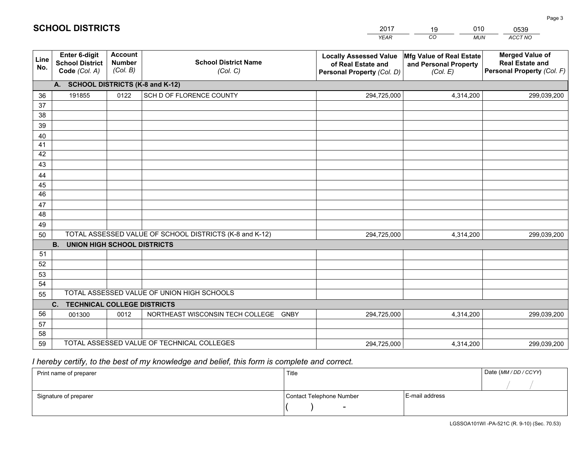|             |                                                          |                                             |                                                         | <b>YEAR</b>                                                                       | CO<br><b>MUN</b>                                              | ACCT NO                                                                        |
|-------------|----------------------------------------------------------|---------------------------------------------|---------------------------------------------------------|-----------------------------------------------------------------------------------|---------------------------------------------------------------|--------------------------------------------------------------------------------|
| Line<br>No. | Enter 6-digit<br><b>School District</b><br>Code (Col. A) | <b>Account</b><br><b>Number</b><br>(Col. B) | <b>School District Name</b><br>(Col. C)                 | <b>Locally Assessed Value</b><br>of Real Estate and<br>Personal Property (Col. D) | Mfg Value of Real Estate<br>and Personal Property<br>(Col. E) | <b>Merged Value of</b><br><b>Real Estate and</b><br>Personal Property (Col. F) |
|             | A. SCHOOL DISTRICTS (K-8 and K-12)                       |                                             |                                                         |                                                                                   |                                                               |                                                                                |
| 36          | 191855                                                   | 0122                                        | SCH D OF FLORENCE COUNTY                                | 294,725,000                                                                       | 4,314,200                                                     | 299,039,200                                                                    |
| 37          |                                                          |                                             |                                                         |                                                                                   |                                                               |                                                                                |
| 38          |                                                          |                                             |                                                         |                                                                                   |                                                               |                                                                                |
| 39          |                                                          |                                             |                                                         |                                                                                   |                                                               |                                                                                |
| 40          |                                                          |                                             |                                                         |                                                                                   |                                                               |                                                                                |
| 41          |                                                          |                                             |                                                         |                                                                                   |                                                               |                                                                                |
| 42<br>43    |                                                          |                                             |                                                         |                                                                                   |                                                               |                                                                                |
|             |                                                          |                                             |                                                         |                                                                                   |                                                               |                                                                                |
| 44<br>45    |                                                          |                                             |                                                         |                                                                                   |                                                               |                                                                                |
| 46          |                                                          |                                             |                                                         |                                                                                   |                                                               |                                                                                |
| 47          |                                                          |                                             |                                                         |                                                                                   |                                                               |                                                                                |
| 48          |                                                          |                                             |                                                         |                                                                                   |                                                               |                                                                                |
| 49          |                                                          |                                             |                                                         |                                                                                   |                                                               |                                                                                |
| 50          |                                                          |                                             | TOTAL ASSESSED VALUE OF SCHOOL DISTRICTS (K-8 and K-12) | 294,725,000                                                                       | 4,314,200                                                     | 299,039,200                                                                    |
|             | <b>B.</b><br><b>UNION HIGH SCHOOL DISTRICTS</b>          |                                             |                                                         |                                                                                   |                                                               |                                                                                |
| 51          |                                                          |                                             |                                                         |                                                                                   |                                                               |                                                                                |
| 52          |                                                          |                                             |                                                         |                                                                                   |                                                               |                                                                                |
| 53          |                                                          |                                             |                                                         |                                                                                   |                                                               |                                                                                |
| 54          |                                                          |                                             |                                                         |                                                                                   |                                                               |                                                                                |
| 55          |                                                          |                                             | TOTAL ASSESSED VALUE OF UNION HIGH SCHOOLS              |                                                                                   |                                                               |                                                                                |
|             | C.<br><b>TECHNICAL COLLEGE DISTRICTS</b>                 |                                             |                                                         |                                                                                   |                                                               |                                                                                |
| 56          | 001300                                                   | 0012                                        | NORTHEAST WISCONSIN TECH COLLEGE GNBY                   | 294,725,000                                                                       | 4,314,200                                                     | 299,039,200                                                                    |
| 57          |                                                          |                                             |                                                         |                                                                                   |                                                               |                                                                                |
| 58<br>59    |                                                          |                                             | TOTAL ASSESSED VALUE OF TECHNICAL COLLEGES              | 294,725,000                                                                       | 4,314,200                                                     | 299,039,200                                                                    |
|             |                                                          |                                             |                                                         |                                                                                   |                                                               |                                                                                |

2017

19

010

 *I hereby certify, to the best of my knowledge and belief, this form is complete and correct.*

**SCHOOL DISTRICTS**

| Print name of preparer | Title                    |                | Date (MM/DD/CCYY) |
|------------------------|--------------------------|----------------|-------------------|
|                        |                          |                |                   |
| Signature of preparer  | Contact Telephone Number | E-mail address |                   |
|                        | $\overline{\phantom{0}}$ |                |                   |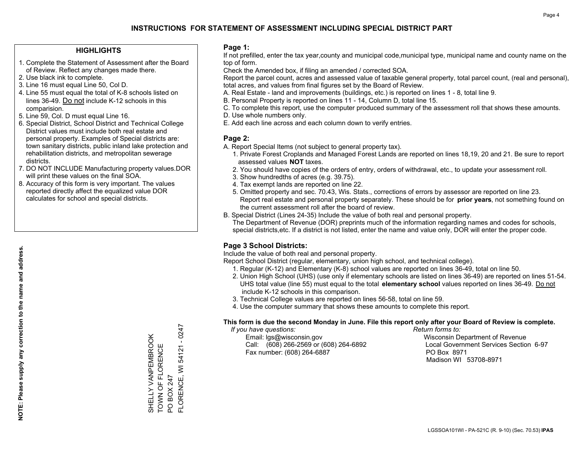#### **HIGHLIGHTS**

- 1. Complete the Statement of Assessment after the Board of Review. Reflect any changes made there.
- 2. Use black ink to complete.
- 3. Line 16 must equal Line 50, Col D.
- 4. Line 55 must equal the total of K-8 schools listed on lines 36-49. Do not include K-12 schools in this comparision.
- 5. Line 59, Col. D must equal Line 16.
- 6. Special District, School District and Technical College District values must include both real estate and personal property. Examples of Special districts are: town sanitary districts, public inland lake protection and rehabilitation districts, and metropolitan sewerage districts.
- 7. DO NOT INCLUDE Manufacturing property values.DOR will print these values on the final SOA.

SHELLY VANPEMBROOK TOWN OF FLORENCE

SHELLY VANPEMBROOK<br>TOWN OF FLORENCE

PO BOX 247

FLORENCE, WI 54121 - 0247

FLORENCE, WI PO BOX 247

54121 - 0247

 8. Accuracy of this form is very important. The values reported directly affect the equalized value DOR calculates for school and special districts.

#### **Page 1:**

 If not prefilled, enter the tax year,county and municipal code,municipal type, municipal name and county name on the top of form.

Check the Amended box, if filing an amended / corrected SOA.

 Report the parcel count, acres and assessed value of taxable general property, total parcel count, (real and personal), total acres, and values from final figures set by the Board of Review.

- A. Real Estate land and improvements (buildings, etc.) is reported on lines 1 8, total line 9.
- B. Personal Property is reported on lines 11 14, Column D, total line 15.
- C. To complete this report, use the computer produced summary of the assessment roll that shows these amounts.
- D. Use whole numbers only.
- E. Add each line across and each column down to verify entries.

#### **Page 2:**

- A. Report Special Items (not subject to general property tax).
- 1. Private Forest Croplands and Managed Forest Lands are reported on lines 18,19, 20 and 21. Be sure to report assessed values **NOT** taxes.
- 2. You should have copies of the orders of entry, orders of withdrawal, etc., to update your assessment roll.
	- 3. Show hundredths of acres (e.g. 39.75).
- 4. Tax exempt lands are reported on line 22.
- 5. Omitted property and sec. 70.43, Wis. Stats., corrections of errors by assessor are reported on line 23. Report real estate and personal property separately. These should be for **prior years**, not something found on the current assessment roll after the board of review.
- B. Special District (Lines 24-35) Include the value of both real and personal property.
- The Department of Revenue (DOR) preprints much of the information regarding names and codes for schools, special districts,etc. If a district is not listed, enter the name and value only, DOR will enter the proper code.

### **Page 3 School Districts:**

Include the value of both real and personal property.

Report School District (regular, elementary, union high school, and technical college).

- 1. Regular (K-12) and Elementary (K-8) school values are reported on lines 36-49, total on line 50.
- 2. Union High School (UHS) (use only if elementary schools are listed on lines 36-49) are reported on lines 51-54. UHS total value (line 55) must equal to the total **elementary school** values reported on lines 36-49. Do notinclude K-12 schools in this comparison.
- 3. Technical College values are reported on lines 56-58, total on line 59.
- 4. Use the computer summary that shows these amounts to complete this report.

#### **This form is due the second Monday in June. File this report only after your Board of Review is complete.**

 *If you have questions: Return forms to:*

 Email: lgs@wisconsin.gov Wisconsin Department of RevenueCall:  $(608)$  266-2569 or  $(608)$  264-6892 Fax number: (608) 264-6887 PO Box 8971

Local Government Services Section 6-97

Madison WI 53708-8971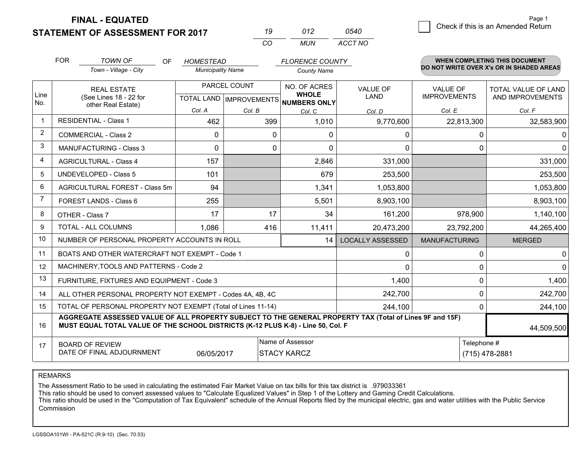**STATEMENT OF ASSESSMENT FOR 2017** 

| 19  | 012 | 0540    |
|-----|-----|---------|
| CO. | MUN | ACCT NO |

|      | <b>FOR</b>                                                                                                                                                                                   | <b>TOWN OF</b><br>OF                                         | <b>HOMESTEAD</b>         |                                           | <b>FLORENCE COUNTY</b> |                                |                                        | <b>WHEN COMPLETING THIS DOCUMENT</b>           |
|------|----------------------------------------------------------------------------------------------------------------------------------------------------------------------------------------------|--------------------------------------------------------------|--------------------------|-------------------------------------------|------------------------|--------------------------------|----------------------------------------|------------------------------------------------|
|      |                                                                                                                                                                                              | Town - Village - City                                        | <b>Municipality Name</b> |                                           | <b>County Name</b>     |                                |                                        | DO NOT WRITE OVER X's OR IN SHADED AREAS       |
| Line |                                                                                                                                                                                              | <b>REAL ESTATE</b><br>(See Lines 18 - 22 for                 |                          | PARCEL COUNT<br>TOTAL LAND   IMPROVEMENTS |                        | <b>VALUE OF</b><br><b>LAND</b> | <b>VALUE OF</b><br><b>IMPROVEMENTS</b> | <b>TOTAL VALUE OF LAND</b><br>AND IMPROVEMENTS |
| No.  | other Real Estate)                                                                                                                                                                           |                                                              |                          |                                           | NUMBERS ONLY           |                                |                                        |                                                |
|      |                                                                                                                                                                                              | <b>RESIDENTIAL - Class 1</b>                                 | Col. A<br>462            | Col. B<br>399                             | Col. C<br>1,010        | Col. D                         | Col. E                                 | Col. F                                         |
| 2    |                                                                                                                                                                                              |                                                              |                          |                                           |                        | 9,770,600                      | 22,813,300                             | 32,583,900                                     |
|      |                                                                                                                                                                                              | <b>COMMERCIAL - Class 2</b>                                  | $\Omega$                 | 0                                         | $\Omega$               | 0                              | 0                                      | 0                                              |
| 3    |                                                                                                                                                                                              | <b>MANUFACTURING - Class 3</b>                               | 0                        | 0                                         | 0                      | 0                              | $\Omega$                               | $\mathbf{0}$                                   |
| 4    |                                                                                                                                                                                              | <b>AGRICULTURAL - Class 4</b>                                | 157                      |                                           | 2,846                  | 331,000                        |                                        | 331,000                                        |
| 5    |                                                                                                                                                                                              | <b>UNDEVELOPED - Class 5</b>                                 | 101                      |                                           | 679                    | 253,500                        |                                        | 253,500                                        |
| 6    |                                                                                                                                                                                              | AGRICULTURAL FOREST - Class 5m                               | 94                       |                                           | 1,341                  | 1,053,800                      |                                        | 1,053,800                                      |
| 7    |                                                                                                                                                                                              | FOREST LANDS - Class 6                                       | 255                      |                                           | 5,501                  | 8,903,100                      |                                        | 8,903,100                                      |
| 8    |                                                                                                                                                                                              | OTHER - Class 7                                              | 17                       | 17                                        | 34                     | 161,200                        | 978,900                                | 1,140,100                                      |
| 9    |                                                                                                                                                                                              | TOTAL - ALL COLUMNS                                          | 1,086                    | 416                                       | 11,411                 | 20,473,200                     | 23,792,200                             | 44,265,400                                     |
| 10   |                                                                                                                                                                                              | NUMBER OF PERSONAL PROPERTY ACCOUNTS IN ROLL                 |                          |                                           | 14                     | <b>LOCALLY ASSESSED</b>        | <b>MANUFACTURING</b>                   | <b>MERGED</b>                                  |
| 11   |                                                                                                                                                                                              | BOATS AND OTHER WATERCRAFT NOT EXEMPT - Code 1               |                          |                                           |                        | 0                              | $\Omega$                               | 0                                              |
| 12   |                                                                                                                                                                                              | MACHINERY, TOOLS AND PATTERNS - Code 2                       |                          |                                           |                        | 0                              | <sup>0</sup>                           | $\Omega$                                       |
| 13   |                                                                                                                                                                                              | FURNITURE, FIXTURES AND EQUIPMENT - Code 3                   |                          |                                           |                        | 1,400                          | $\Omega$                               | 1,400                                          |
| 14   |                                                                                                                                                                                              | ALL OTHER PERSONAL PROPERTY NOT EXEMPT - Codes 4A, 4B, 4C    |                          |                                           |                        | 242,700                        | 0                                      | 242,700                                        |
| 15   |                                                                                                                                                                                              | TOTAL OF PERSONAL PROPERTY NOT EXEMPT (Total of Lines 11-14) |                          |                                           |                        | 244,100                        | 0                                      | 244,100                                        |
| 16   | AGGREGATE ASSESSED VALUE OF ALL PROPERTY SUBJECT TO THE GENERAL PROPERTY TAX (Total of Lines 9F and 15F)<br>MUST EQUAL TOTAL VALUE OF THE SCHOOL DISTRICTS (K-12 PLUS K-8) - Line 50, Col. F |                                                              |                          |                                           |                        |                                |                                        | 44,509,500                                     |
| 17   | Name of Assessor<br>Telephone #<br><b>BOARD OF REVIEW</b>                                                                                                                                    |                                                              |                          |                                           |                        |                                |                                        |                                                |
|      | DATE OF FINAL ADJOURNMENT<br>06/05/2017<br>(715) 478-2881<br><b>STACY KARCZ</b>                                                                                                              |                                                              |                          |                                           |                        |                                |                                        |                                                |

REMARKS

The Assessment Ratio to be used in calculating the estimated Fair Market Value on tax bills for this tax district is .979033361

This ratio should be used to convert assessed values to "Calculate Equalized Values" in Step 1 of the Lottery and Gaming Credit Calculations.<br>This ratio should be used in the "Computation of Tax Equivalent" schedule of the Commission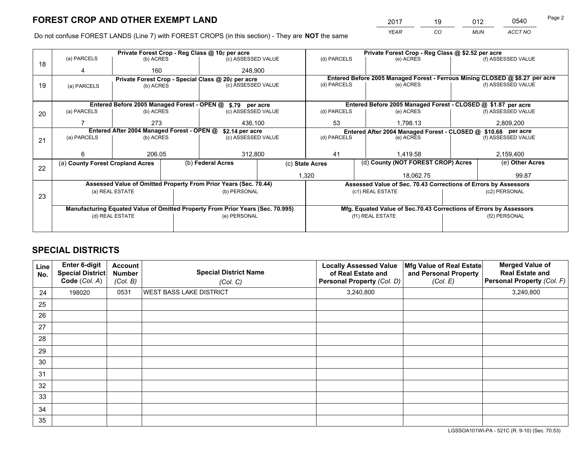*YEAR CO MUN ACCT NO* <sup>2017</sup> <sup>19</sup> <sup>012</sup> <sup>0540</sup>

Do not confuse FOREST LANDS (Line 7) with FOREST CROPS (in this section) - They are **NOT** the same

|    |                                                               |                 |  | Private Forest Crop - Reg Class @ 10¢ per acre                                 |  | Private Forest Crop - Reg Class @ \$2.52 per acre |  |                                                                    |               |                                                                              |  |
|----|---------------------------------------------------------------|-----------------|--|--------------------------------------------------------------------------------|--|---------------------------------------------------|--|--------------------------------------------------------------------|---------------|------------------------------------------------------------------------------|--|
| 18 | (a) PARCELS                                                   | (b) ACRES       |  | (c) ASSESSED VALUE                                                             |  | (d) PARCELS                                       |  | (e) ACRES                                                          |               | (f) ASSESSED VALUE                                                           |  |
|    |                                                               | 160             |  | 248,900                                                                        |  |                                                   |  |                                                                    |               |                                                                              |  |
|    |                                                               |                 |  | Private Forest Crop - Special Class @ 20¢ per acre                             |  |                                                   |  |                                                                    |               | Entered Before 2005 Managed Forest - Ferrous Mining CLOSED @ \$8.27 per acre |  |
| 19 | (a) PARCELS                                                   | (b) ACRES       |  | (c) ASSESSED VALUE                                                             |  | (d) PARCELS                                       |  | (e) ACRES                                                          |               | (f) ASSESSED VALUE                                                           |  |
|    |                                                               |                 |  |                                                                                |  |                                                   |  |                                                                    |               |                                                                              |  |
|    |                                                               |                 |  | Entered Before 2005 Managed Forest - OPEN @ \$.79 per acre                     |  |                                                   |  | Entered Before 2005 Managed Forest - CLOSED @ \$1.87 per acre      |               |                                                                              |  |
| 20 | (a) PARCELS                                                   | (b) ACRES       |  | (c) ASSESSED VALUE                                                             |  | (d) PARCELS                                       |  | (e) ACRES                                                          |               | (f) ASSESSED VALUE                                                           |  |
|    |                                                               | 273             |  | 436,100                                                                        |  | 53                                                |  | 1,798.13                                                           |               | 2,809,200                                                                    |  |
|    | Entered After 2004 Managed Forest - OPEN @<br>\$2.14 per acre |                 |  |                                                                                |  |                                                   |  | Entered After 2004 Managed Forest - CLOSED @ \$10.68 per acre      |               |                                                                              |  |
| 21 | (a) PARCELS                                                   | (b) ACRES       |  | (c) ASSESSED VALUE                                                             |  | (d) PARCELS                                       |  | (e) ACRES                                                          |               | (f) ASSESSED VALUE                                                           |  |
|    |                                                               |                 |  |                                                                                |  | 41<br>1.419.58                                    |  |                                                                    |               |                                                                              |  |
|    | 6                                                             | 206.05          |  | 312,800                                                                        |  |                                                   |  |                                                                    |               | 2,159,400                                                                    |  |
|    | (a) County Forest Cropland Acres                              |                 |  | (b) Federal Acres                                                              |  | (c) State Acres                                   |  | (d) County (NOT FOREST CROP) Acres                                 |               | (e) Other Acres                                                              |  |
| 22 |                                                               |                 |  |                                                                                |  | 1,320                                             |  | 18.062.75                                                          |               | 99.87                                                                        |  |
|    |                                                               |                 |  | Assessed Value of Omitted Property From Prior Years (Sec. 70.44)               |  |                                                   |  | Assessed Value of Sec. 70.43 Corrections of Errors by Assessors    |               |                                                                              |  |
|    |                                                               | (a) REAL ESTATE |  | (b) PERSONAL                                                                   |  |                                                   |  | (c1) REAL ESTATE                                                   |               | (c2) PERSONAL                                                                |  |
| 23 |                                                               |                 |  |                                                                                |  |                                                   |  |                                                                    |               |                                                                              |  |
|    |                                                               |                 |  | Manufacturing Equated Value of Omitted Property From Prior Years (Sec. 70.995) |  |                                                   |  | Mfg. Equated Value of Sec.70.43 Corrections of Errors by Assessors |               |                                                                              |  |
|    |                                                               | (d) REAL ESTATE |  | (e) PERSONAL                                                                   |  | (f1) REAL ESTATE                                  |  |                                                                    | (f2) PERSONAL |                                                                              |  |
|    |                                                               |                 |  |                                                                                |  |                                                   |  |                                                                    |               |                                                                              |  |

# **SPECIAL DISTRICTS**

| Line<br>No. | Enter 6-digit<br><b>Special District</b><br>Code (Col. A) | <b>Account</b><br><b>Number</b><br>(Col. B) | <b>Special District Name</b><br>(Col. C) | <b>Locally Assessed Value</b><br>of Real Estate and<br>Personal Property (Col. D) | Mfg Value of Real Estate<br>and Personal Property<br>(Col. E) | <b>Merged Value of</b><br><b>Real Estate and</b><br>Personal Property (Col. F) |
|-------------|-----------------------------------------------------------|---------------------------------------------|------------------------------------------|-----------------------------------------------------------------------------------|---------------------------------------------------------------|--------------------------------------------------------------------------------|
| 24          | 198020                                                    | 0531                                        | <b>WEST BASS LAKE DISTRICT</b>           | 3,240,800                                                                         |                                                               | 3,240,800                                                                      |
| 25          |                                                           |                                             |                                          |                                                                                   |                                                               |                                                                                |
| 26          |                                                           |                                             |                                          |                                                                                   |                                                               |                                                                                |
| 27          |                                                           |                                             |                                          |                                                                                   |                                                               |                                                                                |
| 28          |                                                           |                                             |                                          |                                                                                   |                                                               |                                                                                |
| 29          |                                                           |                                             |                                          |                                                                                   |                                                               |                                                                                |
| 30          |                                                           |                                             |                                          |                                                                                   |                                                               |                                                                                |
| 31          |                                                           |                                             |                                          |                                                                                   |                                                               |                                                                                |
| 32          |                                                           |                                             |                                          |                                                                                   |                                                               |                                                                                |
| 33          |                                                           |                                             |                                          |                                                                                   |                                                               |                                                                                |
| 34          |                                                           |                                             |                                          |                                                                                   |                                                               |                                                                                |
| 35          |                                                           |                                             |                                          |                                                                                   |                                                               |                                                                                |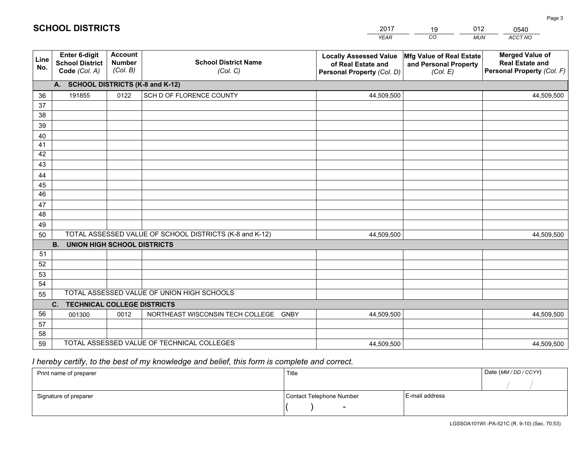|             |                                                          |                                             |                                                         | <b>YEAR</b>                                                                       | CO<br><b>MUN</b>                                              | ACCT NO                                                                        |
|-------------|----------------------------------------------------------|---------------------------------------------|---------------------------------------------------------|-----------------------------------------------------------------------------------|---------------------------------------------------------------|--------------------------------------------------------------------------------|
| Line<br>No. | Enter 6-digit<br><b>School District</b><br>Code (Col. A) | <b>Account</b><br><b>Number</b><br>(Col. B) | <b>School District Name</b><br>(Col. C)                 | <b>Locally Assessed Value</b><br>of Real Estate and<br>Personal Property (Col. D) | Mfg Value of Real Estate<br>and Personal Property<br>(Col. E) | <b>Merged Value of</b><br><b>Real Estate and</b><br>Personal Property (Col. F) |
|             | A. SCHOOL DISTRICTS (K-8 and K-12)                       |                                             |                                                         |                                                                                   |                                                               |                                                                                |
| 36          | 191855                                                   | 0122                                        | SCH D OF FLORENCE COUNTY                                | 44,509,500                                                                        |                                                               | 44,509,500                                                                     |
| 37          |                                                          |                                             |                                                         |                                                                                   |                                                               |                                                                                |
| 38          |                                                          |                                             |                                                         |                                                                                   |                                                               |                                                                                |
| 39          |                                                          |                                             |                                                         |                                                                                   |                                                               |                                                                                |
| 40          |                                                          |                                             |                                                         |                                                                                   |                                                               |                                                                                |
| 41          |                                                          |                                             |                                                         |                                                                                   |                                                               |                                                                                |
| 42          |                                                          |                                             |                                                         |                                                                                   |                                                               |                                                                                |
| 43          |                                                          |                                             |                                                         |                                                                                   |                                                               |                                                                                |
| 44<br>45    |                                                          |                                             |                                                         |                                                                                   |                                                               |                                                                                |
| 46          |                                                          |                                             |                                                         |                                                                                   |                                                               |                                                                                |
| 47          |                                                          |                                             |                                                         |                                                                                   |                                                               |                                                                                |
| 48          |                                                          |                                             |                                                         |                                                                                   |                                                               |                                                                                |
| 49          |                                                          |                                             |                                                         |                                                                                   |                                                               |                                                                                |
| 50          |                                                          |                                             | TOTAL ASSESSED VALUE OF SCHOOL DISTRICTS (K-8 and K-12) | 44,509,500                                                                        |                                                               | 44,509,500                                                                     |
|             | <b>B.</b><br><b>UNION HIGH SCHOOL DISTRICTS</b>          |                                             |                                                         |                                                                                   |                                                               |                                                                                |
| 51          |                                                          |                                             |                                                         |                                                                                   |                                                               |                                                                                |
| 52          |                                                          |                                             |                                                         |                                                                                   |                                                               |                                                                                |
| 53          |                                                          |                                             |                                                         |                                                                                   |                                                               |                                                                                |
| 54          |                                                          |                                             |                                                         |                                                                                   |                                                               |                                                                                |
| 55          |                                                          |                                             | TOTAL ASSESSED VALUE OF UNION HIGH SCHOOLS              |                                                                                   |                                                               |                                                                                |
|             | C. TECHNICAL COLLEGE DISTRICTS                           |                                             |                                                         |                                                                                   |                                                               |                                                                                |
| 56          | 001300                                                   | 0012                                        | NORTHEAST WISCONSIN TECH COLLEGE GNBY                   | 44,509,500                                                                        |                                                               | 44,509,500                                                                     |
| 57<br>58    |                                                          |                                             |                                                         |                                                                                   |                                                               |                                                                                |
| 59          |                                                          |                                             | TOTAL ASSESSED VALUE OF TECHNICAL COLLEGES              | 44,509,500                                                                        |                                                               | 44,509,500                                                                     |
|             |                                                          |                                             |                                                         |                                                                                   |                                                               |                                                                                |

# *I hereby certify, to the best of my knowledge and belief, this form is complete and correct.*

| Print name of preparer | Title                    |                | Date (MM / DD / CCYY) |
|------------------------|--------------------------|----------------|-----------------------|
|                        |                          |                |                       |
| Signature of preparer  | Contact Telephone Number | E-mail address |                       |
|                        | $\overline{\phantom{0}}$ |                |                       |

| 2017 | 19 | 012 | 0540    |
|------|----|-----|---------|
| YEAR | CO | MUN | ACCT NO |

# **SCHOOL DISTRICTS**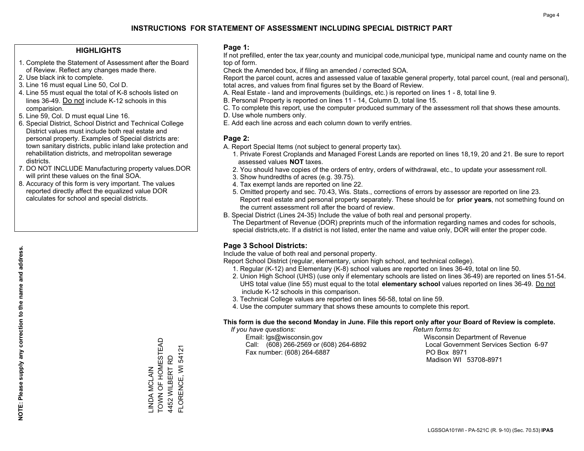#### **HIGHLIGHTS**

- 1. Complete the Statement of Assessment after the Board of Review. Reflect any changes made there.
- 2. Use black ink to complete.
- 3. Line 16 must equal Line 50, Col D.
- 4. Line 55 must equal the total of K-8 schools listed on lines 36-49. Do not include K-12 schools in this comparision.
- 5. Line 59, Col. D must equal Line 16.
- 6. Special District, School District and Technical College District values must include both real estate and personal property. Examples of Special districts are: town sanitary districts, public inland lake protection and rehabilitation districts, and metropolitan sewerage districts.
- 7. DO NOT INCLUDE Manufacturing property values.DOR will print these values on the final SOA.
- 8. Accuracy of this form is very important. The values reported directly affect the equalized value DOR calculates for school and special districts.

#### **Page 1:**

 If not prefilled, enter the tax year,county and municipal code,municipal type, municipal name and county name on the top of form.

Check the Amended box, if filing an amended / corrected SOA.

 Report the parcel count, acres and assessed value of taxable general property, total parcel count, (real and personal), total acres, and values from final figures set by the Board of Review.

- A. Real Estate land and improvements (buildings, etc.) is reported on lines 1 8, total line 9.
- B. Personal Property is reported on lines 11 14, Column D, total line 15.
- C. To complete this report, use the computer produced summary of the assessment roll that shows these amounts.
- D. Use whole numbers only.
- E. Add each line across and each column down to verify entries.

#### **Page 2:**

- A. Report Special Items (not subject to general property tax).
- 1. Private Forest Croplands and Managed Forest Lands are reported on lines 18,19, 20 and 21. Be sure to report assessed values **NOT** taxes.
- 2. You should have copies of the orders of entry, orders of withdrawal, etc., to update your assessment roll.
	- 3. Show hundredths of acres (e.g. 39.75).
- 4. Tax exempt lands are reported on line 22.
- 5. Omitted property and sec. 70.43, Wis. Stats., corrections of errors by assessor are reported on line 23. Report real estate and personal property separately. These should be for **prior years**, not something found on the current assessment roll after the board of review.
- B. Special District (Lines 24-35) Include the value of both real and personal property.
- The Department of Revenue (DOR) preprints much of the information regarding names and codes for schools, special districts,etc. If a district is not listed, enter the name and value only, DOR will enter the proper code.

### **Page 3 School Districts:**

Include the value of both real and personal property.

Report School District (regular, elementary, union high school, and technical college).

- 1. Regular (K-12) and Elementary (K-8) school values are reported on lines 36-49, total on line 50.
- 2. Union High School (UHS) (use only if elementary schools are listed on lines 36-49) are reported on lines 51-54. UHS total value (line 55) must equal to the total **elementary school** values reported on lines 36-49. Do notinclude K-12 schools in this comparison.
- 3. Technical College values are reported on lines 56-58, total on line 59.
- 4. Use the computer summary that shows these amounts to complete this report.

#### **This form is due the second Monday in June. File this report only after your Board of Review is complete.**

 *If you have questions: Return forms to:*

 Email: lgs@wisconsin.gov Wisconsin Department of RevenueCall:  $(608)$  266-2569 or  $(608)$  264-6892 Fax number: (608) 264-6887 PO Box 8971

Local Government Services Section 6-97 Madison WI 53708-8971

TOWN OF HOMESTEAD \_INDA MCLAIN<br>TOWN OF HOMESTEAD FLORENCE, WI 54121 FLORENCE, WI 54121 4452 WILBERT RD 4452 WILBERT RD LINDA MCLAIN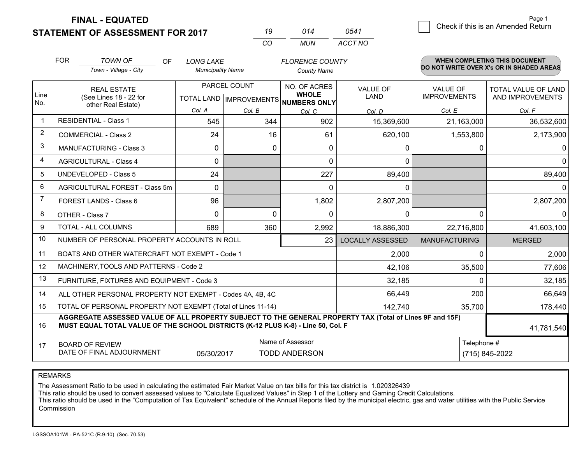**STATEMENT OF ASSESSMENT FOR 2017** 

| 19  | 014   | 0541    |
|-----|-------|---------|
| CO. | MI IN | ACCT NO |

|      | <b>FOR</b><br><b>TOWN OF</b><br>OF.<br><b>LONG LAKE</b><br><b>FLORENCE COUNTY</b>                                                                                                            |                                                |                          | <b>WHEN COMPLETING THIS DOCUMENT</b> |                                                |                                |                                        |                                          |
|------|----------------------------------------------------------------------------------------------------------------------------------------------------------------------------------------------|------------------------------------------------|--------------------------|--------------------------------------|------------------------------------------------|--------------------------------|----------------------------------------|------------------------------------------|
|      |                                                                                                                                                                                              | Town - Village - City                          | <b>Municipality Name</b> |                                      | <b>County Name</b>                             |                                |                                        | DO NOT WRITE OVER X's OR IN SHADED AREAS |
| Line |                                                                                                                                                                                              | <b>REAL ESTATE</b><br>(See Lines 18 - 22 for   |                          | PARCEL COUNT                         | NO. OF ACRES<br><b>WHOLE</b>                   | <b>VALUE OF</b><br><b>LAND</b> | <b>VALUE OF</b><br><b>IMPROVEMENTS</b> | TOTAL VALUE OF LAND<br>AND IMPROVEMENTS  |
| No.  |                                                                                                                                                                                              | other Real Estate)                             | Col. A                   | Col. B                               | TOTAL LAND IMPROVEMENTS NUMBERS ONLY<br>Col. C | Col. D                         | Col. E                                 | Col. F                                   |
|      |                                                                                                                                                                                              | <b>RESIDENTIAL - Class 1</b>                   | 545                      | 344                                  | 902                                            | 15,369,600                     | 21,163,000                             | 36,532,600                               |
| 2    |                                                                                                                                                                                              | <b>COMMERCIAL - Class 2</b>                    | 24                       | 16                                   | 61                                             | 620,100                        | 1,553,800                              | 2,173,900                                |
| 3    |                                                                                                                                                                                              | <b>MANUFACTURING - Class 3</b>                 | $\mathbf 0$              | 0                                    | $\Omega$                                       | 0                              | $\Omega$                               | 0                                        |
| 4    |                                                                                                                                                                                              | <b>AGRICULTURAL - Class 4</b>                  | 0                        |                                      | $\Omega$                                       | 0                              |                                        | $\mathbf 0$                              |
| 5    |                                                                                                                                                                                              | <b>UNDEVELOPED - Class 5</b>                   | 24                       |                                      | 227                                            | 89,400                         |                                        | 89,400                                   |
| 6    | AGRICULTURAL FOREST - Class 5m                                                                                                                                                               |                                                | $\Omega$                 |                                      | $\Omega$                                       | $\mathbf{0}$                   |                                        | 0                                        |
| 7    | FOREST LANDS - Class 6                                                                                                                                                                       |                                                | 96                       |                                      | 1,802                                          | 2,807,200                      |                                        | 2,807,200                                |
| 8    |                                                                                                                                                                                              | OTHER - Class 7                                | $\Omega$                 | $\Omega$                             | $\Omega$                                       | $\Omega$                       | $\Omega$                               | $\Omega$                                 |
| 9    |                                                                                                                                                                                              | TOTAL - ALL COLUMNS                            | 689                      | 360                                  | 2,992                                          | 18,886,300                     | 22,716,800                             | 41,603,100                               |
| 10   |                                                                                                                                                                                              | NUMBER OF PERSONAL PROPERTY ACCOUNTS IN ROLL   |                          |                                      | 23                                             | <b>LOCALLY ASSESSED</b>        | <b>MANUFACTURING</b>                   | <b>MERGED</b>                            |
| 11   |                                                                                                                                                                                              | BOATS AND OTHER WATERCRAFT NOT EXEMPT - Code 1 |                          |                                      |                                                | 2,000                          | $\Omega$                               | 2,000                                    |
| 12   |                                                                                                                                                                                              | MACHINERY, TOOLS AND PATTERNS - Code 2         |                          |                                      |                                                | 42,106                         | 35,500                                 | 77,606                                   |
| 13   |                                                                                                                                                                                              | FURNITURE, FIXTURES AND EQUIPMENT - Code 3     |                          |                                      |                                                | 32,185                         | $\Omega$                               | 32,185                                   |
| 14   | 66,449<br>ALL OTHER PERSONAL PROPERTY NOT EXEMPT - Codes 4A, 4B, 4C                                                                                                                          |                                                |                          |                                      |                                                |                                | 200                                    | 66,649                                   |
| 15   | TOTAL OF PERSONAL PROPERTY NOT EXEMPT (Total of Lines 11-14)<br>142,740                                                                                                                      |                                                |                          |                                      |                                                |                                | 35,700                                 | 178,440                                  |
| 16   | AGGREGATE ASSESSED VALUE OF ALL PROPERTY SUBJECT TO THE GENERAL PROPERTY TAX (Total of Lines 9F and 15F)<br>MUST EQUAL TOTAL VALUE OF THE SCHOOL DISTRICTS (K-12 PLUS K-8) - Line 50, Col. F |                                                |                          |                                      |                                                |                                | 41,781,540                             |                                          |
| 17   | Name of Assessor<br>Telephone #<br><b>BOARD OF REVIEW</b><br>DATE OF FINAL ADJOURNMENT<br>05/30/2017<br><b>TODD ANDERSON</b>                                                                 |                                                |                          |                                      |                                                |                                |                                        | (715) 845-2022                           |

REMARKS

The Assessment Ratio to be used in calculating the estimated Fair Market Value on tax bills for this tax district is 1.020326439

This ratio should be used to convert assessed values to "Calculate Equalized Values" in Step 1 of the Lottery and Gaming Credit Calculations.<br>This ratio should be used in the "Computation of Tax Equivalent" schedule of the Commission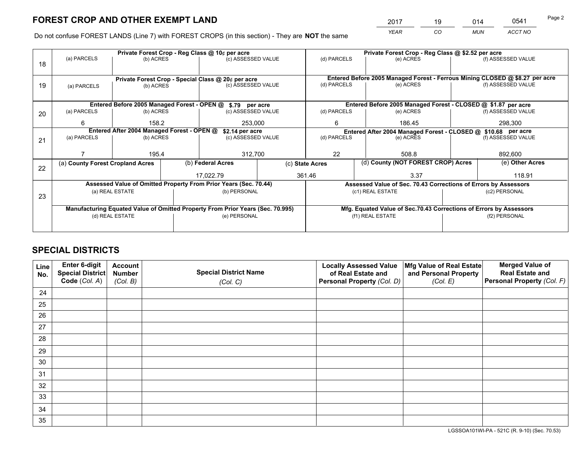*YEAR CO MUN ACCT NO* <sup>2017</sup> <sup>19</sup> <sup>014</sup> <sup>0541</sup>

Do not confuse FOREST LANDS (Line 7) with FOREST CROPS (in this section) - They are **NOT** the same

|    |                                                                                |                 |  | Private Forest Crop - Reg Class @ 10¢ per acre                   |                    | Private Forest Crop - Reg Class @ \$2.52 per acre                            |                                                                    |  |                    |  |
|----|--------------------------------------------------------------------------------|-----------------|--|------------------------------------------------------------------|--------------------|------------------------------------------------------------------------------|--------------------------------------------------------------------|--|--------------------|--|
| 18 | (a) PARCELS                                                                    | (b) ACRES       |  | (c) ASSESSED VALUE                                               |                    | (d) PARCELS                                                                  | (e) ACRES                                                          |  | (f) ASSESSED VALUE |  |
|    |                                                                                |                 |  | Private Forest Crop - Special Class @ 20¢ per acre               |                    | Entered Before 2005 Managed Forest - Ferrous Mining CLOSED @ \$8.27 per acre |                                                                    |  |                    |  |
| 19 | (a) PARCELS                                                                    | (b) ACRES       |  | (c) ASSESSED VALUE                                               |                    | (d) PARCELS<br>(e) ACRES                                                     |                                                                    |  | (f) ASSESSED VALUE |  |
|    |                                                                                |                 |  | Entered Before 2005 Managed Forest - OPEN @ \$.79 per acre       |                    | Entered Before 2005 Managed Forest - CLOSED @ \$1.87 per acre                |                                                                    |  |                    |  |
| 20 | (a) PARCELS                                                                    | (b) ACRES       |  | (c) ASSESSED VALUE                                               |                    | (d) PARCELS                                                                  | (e) ACRES                                                          |  | (f) ASSESSED VALUE |  |
|    | 6                                                                              | 158.2           |  | 253,000                                                          |                    | 6                                                                            | 186.45                                                             |  | 298,300            |  |
|    | Entered After 2004 Managed Forest - OPEN @                                     |                 |  | \$2.14 per acre                                                  |                    | Entered After 2004 Managed Forest - CLOSED @ \$10.68 per acre                |                                                                    |  |                    |  |
| 21 | (a) PARCELS                                                                    | (b) ACRES       |  |                                                                  | (c) ASSESSED VALUE |                                                                              | (d) PARCELS<br>(e) ACRES                                           |  | (f) ASSESSED VALUE |  |
|    |                                                                                |                 |  |                                                                  |                    |                                                                              |                                                                    |  |                    |  |
|    |                                                                                | 195.4           |  | 312,700                                                          |                    | 22                                                                           | 508.8                                                              |  | 892,600            |  |
|    | (a) County Forest Cropland Acres                                               |                 |  | (b) Federal Acres                                                |                    | (c) State Acres                                                              | (d) County (NOT FOREST CROP) Acres                                 |  | (e) Other Acres    |  |
| 22 |                                                                                |                 |  | 17.022.79                                                        |                    | 361.46                                                                       | 3.37                                                               |  | 118.91             |  |
|    |                                                                                |                 |  | Assessed Value of Omitted Property From Prior Years (Sec. 70.44) |                    |                                                                              | Assessed Value of Sec. 70.43 Corrections of Errors by Assessors    |  |                    |  |
| 23 | (a) REAL ESTATE<br>(b) PERSONAL                                                |                 |  |                                                                  | (c1) REAL ESTATE   |                                                                              | (c2) PERSONAL                                                      |  |                    |  |
|    |                                                                                |                 |  |                                                                  |                    |                                                                              |                                                                    |  |                    |  |
|    | Manufacturing Equated Value of Omitted Property From Prior Years (Sec. 70.995) |                 |  |                                                                  |                    |                                                                              | Mfg. Equated Value of Sec.70.43 Corrections of Errors by Assessors |  |                    |  |
|    |                                                                                | (d) REAL ESTATE |  | (e) PERSONAL                                                     |                    |                                                                              | (f1) REAL ESTATE                                                   |  | (f2) PERSONAL      |  |
|    |                                                                                |                 |  |                                                                  |                    |                                                                              |                                                                    |  |                    |  |

# **SPECIAL DISTRICTS**

| Line<br>No. | Enter 6-digit<br><b>Special District</b> | <b>Account</b><br><b>Number</b> | <b>Special District Name</b> | <b>Locally Assessed Value</b><br>of Real Estate and | Mfg Value of Real Estate<br>and Personal Property | <b>Merged Value of</b><br><b>Real Estate and</b> |
|-------------|------------------------------------------|---------------------------------|------------------------------|-----------------------------------------------------|---------------------------------------------------|--------------------------------------------------|
|             | Code (Col. A)                            | (Col. B)                        | (Col. C)                     | Personal Property (Col. D)                          | (Col. E)                                          | Personal Property (Col. F)                       |
| 24          |                                          |                                 |                              |                                                     |                                                   |                                                  |
| 25          |                                          |                                 |                              |                                                     |                                                   |                                                  |
| 26          |                                          |                                 |                              |                                                     |                                                   |                                                  |
| 27          |                                          |                                 |                              |                                                     |                                                   |                                                  |
| 28          |                                          |                                 |                              |                                                     |                                                   |                                                  |
| 29          |                                          |                                 |                              |                                                     |                                                   |                                                  |
| 30          |                                          |                                 |                              |                                                     |                                                   |                                                  |
| 31          |                                          |                                 |                              |                                                     |                                                   |                                                  |
| 32          |                                          |                                 |                              |                                                     |                                                   |                                                  |
| 33          |                                          |                                 |                              |                                                     |                                                   |                                                  |
| 34          |                                          |                                 |                              |                                                     |                                                   |                                                  |
| 35          |                                          |                                 |                              |                                                     |                                                   |                                                  |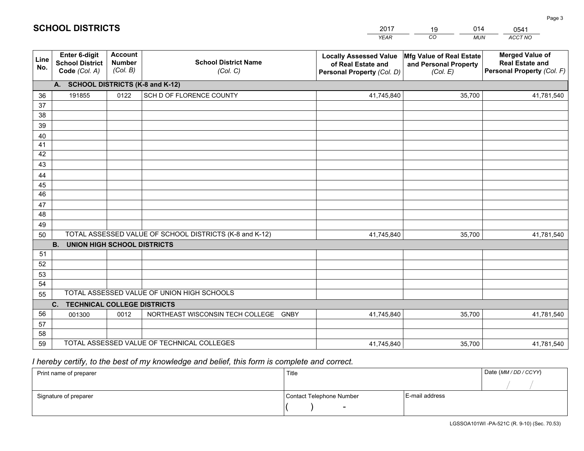|             |                                                          |                                             |                                                         | <b>YEAR</b>                                                                       | CO<br><b>MUN</b>                                              | ACCT NO                                                                        |
|-------------|----------------------------------------------------------|---------------------------------------------|---------------------------------------------------------|-----------------------------------------------------------------------------------|---------------------------------------------------------------|--------------------------------------------------------------------------------|
| Line<br>No. | Enter 6-digit<br><b>School District</b><br>Code (Col. A) | <b>Account</b><br><b>Number</b><br>(Col. B) | <b>School District Name</b><br>(Col. C)                 | <b>Locally Assessed Value</b><br>of Real Estate and<br>Personal Property (Col. D) | Mfg Value of Real Estate<br>and Personal Property<br>(Col. E) | <b>Merged Value of</b><br><b>Real Estate and</b><br>Personal Property (Col. F) |
|             | A. SCHOOL DISTRICTS (K-8 and K-12)                       |                                             |                                                         |                                                                                   |                                                               |                                                                                |
| 36          | 191855                                                   | 0122                                        | SCH D OF FLORENCE COUNTY                                | 41,745,840                                                                        | 35,700                                                        | 41,781,540                                                                     |
| 37          |                                                          |                                             |                                                         |                                                                                   |                                                               |                                                                                |
| 38          |                                                          |                                             |                                                         |                                                                                   |                                                               |                                                                                |
| 39          |                                                          |                                             |                                                         |                                                                                   |                                                               |                                                                                |
| 40          |                                                          |                                             |                                                         |                                                                                   |                                                               |                                                                                |
| 41<br>42    |                                                          |                                             |                                                         |                                                                                   |                                                               |                                                                                |
| 43          |                                                          |                                             |                                                         |                                                                                   |                                                               |                                                                                |
| 44          |                                                          |                                             |                                                         |                                                                                   |                                                               |                                                                                |
| 45          |                                                          |                                             |                                                         |                                                                                   |                                                               |                                                                                |
| 46          |                                                          |                                             |                                                         |                                                                                   |                                                               |                                                                                |
| 47          |                                                          |                                             |                                                         |                                                                                   |                                                               |                                                                                |
| 48          |                                                          |                                             |                                                         |                                                                                   |                                                               |                                                                                |
| 49          |                                                          |                                             |                                                         |                                                                                   |                                                               |                                                                                |
| 50          |                                                          |                                             | TOTAL ASSESSED VALUE OF SCHOOL DISTRICTS (K-8 and K-12) | 41,745,840                                                                        | 35,700                                                        | 41,781,540                                                                     |
|             | <b>B.</b><br><b>UNION HIGH SCHOOL DISTRICTS</b>          |                                             |                                                         |                                                                                   |                                                               |                                                                                |
| 51          |                                                          |                                             |                                                         |                                                                                   |                                                               |                                                                                |
| 52          |                                                          |                                             |                                                         |                                                                                   |                                                               |                                                                                |
| 53<br>54    |                                                          |                                             |                                                         |                                                                                   |                                                               |                                                                                |
|             |                                                          |                                             | TOTAL ASSESSED VALUE OF UNION HIGH SCHOOLS              |                                                                                   |                                                               |                                                                                |
| 55          | $C_{1}$<br><b>TECHNICAL COLLEGE DISTRICTS</b>            |                                             |                                                         |                                                                                   |                                                               |                                                                                |
| 56          | 001300                                                   | 0012                                        | NORTHEAST WISCONSIN TECH COLLEGE GNBY                   | 41,745,840                                                                        | 35,700                                                        | 41,781,540                                                                     |
| 57          |                                                          |                                             |                                                         |                                                                                   |                                                               |                                                                                |
| 58          |                                                          |                                             |                                                         |                                                                                   |                                                               |                                                                                |
| 59          |                                                          |                                             | TOTAL ASSESSED VALUE OF TECHNICAL COLLEGES              | 41,745,840                                                                        | 35,700                                                        | 41,781,540                                                                     |

2017

19

014

# *I hereby certify, to the best of my knowledge and belief, this form is complete and correct.*

**SCHOOL DISTRICTS**

| Print name of preparer | Title                    |                | Date (MM / DD / CCYY) |
|------------------------|--------------------------|----------------|-----------------------|
|                        |                          |                |                       |
| Signature of preparer  | Contact Telephone Number | E-mail address |                       |
|                        | $\sim$                   |                |                       |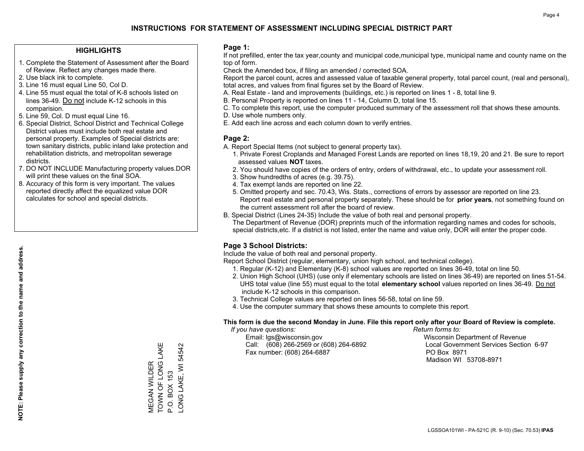#### **HIGHLIGHTS**

- 1. Complete the Statement of Assessment after the Board of Review. Reflect any changes made there.
- 2. Use black ink to complete.
- 3. Line 16 must equal Line 50, Col D.
- 4. Line 55 must equal the total of K-8 schools listed on lines 36-49. Do not include K-12 schools in this comparision.
- 5. Line 59, Col. D must equal Line 16.
- 6. Special District, School District and Technical College District values must include both real estate and personal property. Examples of Special districts are: town sanitary districts, public inland lake protection and rehabilitation districts, and metropolitan sewerage districts.
- 7. DO NOT INCLUDE Manufacturing property values.DOR will print these values on the final SOA.

MEGAN WILDER TOWN OF LONG LAKE

MEGAN WILDER<br>TOWN OF LONG LAKE

P.O. BOX 153

LONG LAKE, WI 54542

LONG LAKE, WI P.O. BOX 153

54542

 8. Accuracy of this form is very important. The values reported directly affect the equalized value DOR calculates for school and special districts.

#### **Page 1:**

 If not prefilled, enter the tax year,county and municipal code,municipal type, municipal name and county name on the top of form.

Check the Amended box, if filing an amended / corrected SOA.

 Report the parcel count, acres and assessed value of taxable general property, total parcel count, (real and personal), total acres, and values from final figures set by the Board of Review.

- A. Real Estate land and improvements (buildings, etc.) is reported on lines 1 8, total line 9.
- B. Personal Property is reported on lines 11 14, Column D, total line 15.
- C. To complete this report, use the computer produced summary of the assessment roll that shows these amounts.
- D. Use whole numbers only.
- E. Add each line across and each column down to verify entries.

#### **Page 2:**

- A. Report Special Items (not subject to general property tax).
- 1. Private Forest Croplands and Managed Forest Lands are reported on lines 18,19, 20 and 21. Be sure to report assessed values **NOT** taxes.
- 2. You should have copies of the orders of entry, orders of withdrawal, etc., to update your assessment roll.
	- 3. Show hundredths of acres (e.g. 39.75).
- 4. Tax exempt lands are reported on line 22.
- 5. Omitted property and sec. 70.43, Wis. Stats., corrections of errors by assessor are reported on line 23. Report real estate and personal property separately. These should be for **prior years**, not something found on the current assessment roll after the board of review.
- B. Special District (Lines 24-35) Include the value of both real and personal property.
- The Department of Revenue (DOR) preprints much of the information regarding names and codes for schools, special districts,etc. If a district is not listed, enter the name and value only, DOR will enter the proper code.

### **Page 3 School Districts:**

Include the value of both real and personal property.

Report School District (regular, elementary, union high school, and technical college).

- 1. Regular (K-12) and Elementary (K-8) school values are reported on lines 36-49, total on line 50.
- 2. Union High School (UHS) (use only if elementary schools are listed on lines 36-49) are reported on lines 51-54. UHS total value (line 55) must equal to the total **elementary school** values reported on lines 36-49. Do notinclude K-12 schools in this comparison.
- 3. Technical College values are reported on lines 56-58, total on line 59.
- 4. Use the computer summary that shows these amounts to complete this report.

#### **This form is due the second Monday in June. File this report only after your Board of Review is complete.**

 *If you have questions: Return forms to:*

 Email: lgs@wisconsin.gov Wisconsin Department of RevenueCall:  $(608)$  266-2569 or  $(608)$  264-6892 Fax number: (608) 264-6887 PO Box 8971

Local Government Services Section 6-97

Madison WI 53708-8971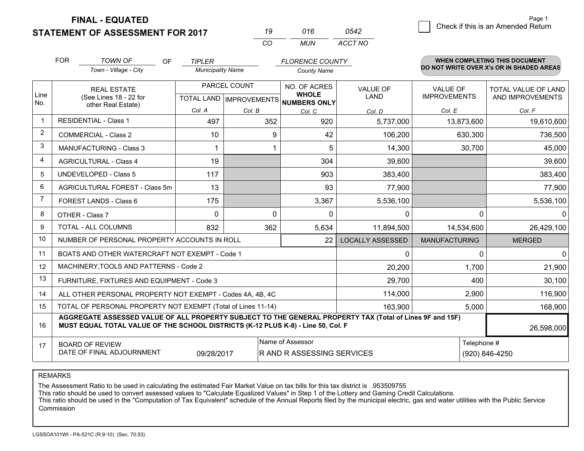**STATEMENT OF ASSESSMENT FOR 2017** 

|              | 016  | 0542    |
|--------------|------|---------|
| $\mathbf{r}$ | MUN. | ACCT NO |

2 Check if this is an Amended Return Page 1

|                | <b>FOR</b>                                                                                                                                                                                   | <b>TOWN OF</b><br><b>OF</b><br><b>TIPLER</b><br>Town - Village - City<br><b>Municipality Name</b> |            | <b>FLORENCE COUNTY</b><br><b>County Name</b> | <b>WHEN COMPLETING THIS DOCUMENT</b><br>DO NOT WRITE OVER X's OR IN SHADED AREAS |                         |                                        |                                                |
|----------------|----------------------------------------------------------------------------------------------------------------------------------------------------------------------------------------------|---------------------------------------------------------------------------------------------------|------------|----------------------------------------------|----------------------------------------------------------------------------------|-------------------------|----------------------------------------|------------------------------------------------|
|                |                                                                                                                                                                                              |                                                                                                   |            |                                              |                                                                                  |                         |                                        |                                                |
| Line           |                                                                                                                                                                                              | <b>REAL ESTATE</b>                                                                                |            | PARCEL COUNT                                 | NO. OF ACRES<br><b>WHOLE</b>                                                     | <b>VALUE OF</b><br>LAND | <b>VALUE OF</b><br><b>IMPROVEMENTS</b> | <b>TOTAL VALUE OF LAND</b><br>AND IMPROVEMENTS |
| No.            |                                                                                                                                                                                              | (See Lines 18 - 22 for<br>other Real Estate)                                                      |            |                                              | TOTAL LAND MPROVEMENTS NUMBERS ONLY                                              |                         |                                        |                                                |
| $\mathbf{1}$   |                                                                                                                                                                                              | <b>RESIDENTIAL - Class 1</b>                                                                      | Col. A     | Col. B                                       | Col. C                                                                           | Col. D                  | Col. E                                 | Col. F                                         |
|                |                                                                                                                                                                                              |                                                                                                   | 497        | 352                                          | 920                                                                              | 5,737,000               | 13,873,600                             | 19,610,600                                     |
| $\overline{2}$ |                                                                                                                                                                                              | <b>COMMERCIAL - Class 2</b>                                                                       | 10         | 9                                            | 42                                                                               | 106,200                 | 630,300                                | 736,500                                        |
| 3              |                                                                                                                                                                                              | <b>MANUFACTURING - Class 3</b>                                                                    |            |                                              | 5                                                                                | 14,300                  | 30,700                                 | 45,000                                         |
| 4              |                                                                                                                                                                                              | <b>AGRICULTURAL - Class 4</b>                                                                     | 19         |                                              | 304                                                                              | 39,600                  |                                        | 39,600                                         |
| 5              |                                                                                                                                                                                              | <b>UNDEVELOPED - Class 5</b>                                                                      | 117        |                                              | 903                                                                              | 383,400                 |                                        | 383,400                                        |
| 6              |                                                                                                                                                                                              | AGRICULTURAL FOREST - Class 5m                                                                    | 13         |                                              | 93                                                                               | 77,900                  |                                        | 77,900                                         |
| 7              |                                                                                                                                                                                              | FOREST LANDS - Class 6                                                                            | 175        |                                              | 3,367                                                                            | 5,536,100               |                                        | 5,536,100                                      |
| 8              | OTHER - Class 7                                                                                                                                                                              |                                                                                                   | $\Omega$   | $\mathbf{0}$                                 | $\Omega$                                                                         | $\mathbf{0}$            | $\Omega$                               | $\mathbf{0}$                                   |
| 9              |                                                                                                                                                                                              | TOTAL - ALL COLUMNS                                                                               | 832        | 362                                          | 5,634                                                                            | 11,894,500              | 14,534,600                             | 26,429,100                                     |
| 10             |                                                                                                                                                                                              | NUMBER OF PERSONAL PROPERTY ACCOUNTS IN ROLL                                                      |            |                                              | 22                                                                               | <b>LOCALLY ASSESSED</b> | <b>MANUFACTURING</b>                   | <b>MERGED</b>                                  |
| 11             |                                                                                                                                                                                              | BOATS AND OTHER WATERCRAFT NOT EXEMPT - Code 1                                                    |            |                                              |                                                                                  | $\mathbf{0}$            | $\Omega$                               | $\mathbf 0$                                    |
| 12             |                                                                                                                                                                                              | MACHINERY, TOOLS AND PATTERNS - Code 2                                                            |            |                                              |                                                                                  | 20,200                  | 1,700                                  | 21,900                                         |
| 13             |                                                                                                                                                                                              | FURNITURE, FIXTURES AND EQUIPMENT - Code 3                                                        |            |                                              |                                                                                  | 29,700                  | 400                                    | 30,100                                         |
| 14             | 114,000<br>2,900<br>ALL OTHER PERSONAL PROPERTY NOT EXEMPT - Codes 4A, 4B, 4C                                                                                                                |                                                                                                   |            |                                              |                                                                                  |                         |                                        | 116,900                                        |
| 15             | TOTAL OF PERSONAL PROPERTY NOT EXEMPT (Total of Lines 11-14)<br>163,900<br>5,000                                                                                                             |                                                                                                   |            |                                              |                                                                                  |                         |                                        | 168,900                                        |
| 16             | AGGREGATE ASSESSED VALUE OF ALL PROPERTY SUBJECT TO THE GENERAL PROPERTY TAX (Total of Lines 9F and 15F)<br>MUST EQUAL TOTAL VALUE OF THE SCHOOL DISTRICTS (K-12 PLUS K-8) - Line 50, Col. F |                                                                                                   |            |                                              |                                                                                  |                         | 26,598,000                             |                                                |
| 17             |                                                                                                                                                                                              | <b>BOARD OF REVIEW</b>                                                                            |            |                                              | Name of Assessor                                                                 |                         | Telephone #                            |                                                |
|                |                                                                                                                                                                                              | DATE OF FINAL ADJOURNMENT                                                                         | 09/28/2017 |                                              | R AND R ASSESSING SERVICES                                                       |                         |                                        | (920) 846-4250                                 |

REMARKS

The Assessment Ratio to be used in calculating the estimated Fair Market Value on tax bills for this tax district is .953509755

This ratio should be used to convert assessed values to "Calculate Equalized Values" in Step 1 of the Lottery and Gaming Credit Calculations.<br>This ratio should be used in the "Computation of Tax Equivalent" schedule of the **Commission**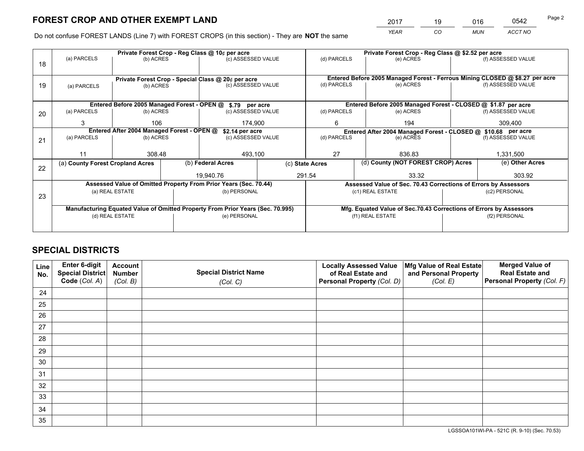*YEAR CO MUN ACCT NO* <sup>2017</sup> <sup>19</sup> <sup>016</sup> <sup>0542</sup>

Do not confuse FOREST LANDS (Line 7) with FOREST CROPS (in this section) - They are **NOT** the same

|    |                                                                                |                 |  | Private Forest Crop - Reg Class @ 10¢ per acre                           |  | Private Forest Crop - Reg Class @ \$2.52 per acre             |                                                                    |  |                                                                              |  |
|----|--------------------------------------------------------------------------------|-----------------|--|--------------------------------------------------------------------------|--|---------------------------------------------------------------|--------------------------------------------------------------------|--|------------------------------------------------------------------------------|--|
| 18 | (a) PARCELS                                                                    | (b) ACRES       |  | (c) ASSESSED VALUE                                                       |  | (d) PARCELS                                                   | (e) ACRES                                                          |  | (f) ASSESSED VALUE                                                           |  |
|    |                                                                                |                 |  |                                                                          |  |                                                               |                                                                    |  | Entered Before 2005 Managed Forest - Ferrous Mining CLOSED @ \$8.27 per acre |  |
| 19 | (a) PARCELS                                                                    | (b) ACRES       |  | Private Forest Crop - Special Class @ 20¢ per acre<br>(c) ASSESSED VALUE |  | (d) PARCELS                                                   | (e) ACRES                                                          |  | (f) ASSESSED VALUE                                                           |  |
|    |                                                                                |                 |  |                                                                          |  |                                                               |                                                                    |  |                                                                              |  |
|    |                                                                                |                 |  |                                                                          |  |                                                               |                                                                    |  |                                                                              |  |
|    |                                                                                |                 |  | Entered Before 2005 Managed Forest - OPEN @ \$.79 per acre               |  |                                                               | Entered Before 2005 Managed Forest - CLOSED @ \$1.87 per acre      |  |                                                                              |  |
| 20 | (a) PARCELS                                                                    | (b) ACRES       |  | (c) ASSESSED VALUE                                                       |  | (d) PARCELS                                                   | (e) ACRES                                                          |  | (f) ASSESSED VALUE                                                           |  |
|    | 3                                                                              | 106             |  | 174.900                                                                  |  | 6                                                             | 194                                                                |  | 309,400                                                                      |  |
|    | Entered After 2004 Managed Forest - OPEN @                                     |                 |  | \$2.14 per acre                                                          |  | Entered After 2004 Managed Forest - CLOSED @ \$10.68 per acre |                                                                    |  |                                                                              |  |
| 21 | (a) PARCELS                                                                    | (b) ACRES       |  | (c) ASSESSED VALUE                                                       |  | (d) PARCELS<br>(e) ACRES                                      |                                                                    |  | (f) ASSESSED VALUE                                                           |  |
|    |                                                                                |                 |  |                                                                          |  |                                                               |                                                                    |  |                                                                              |  |
|    | 11                                                                             | 308.48          |  | 493,100                                                                  |  | 27<br>836.83                                                  |                                                                    |  | 1,331,500                                                                    |  |
|    | (a) County Forest Cropland Acres                                               |                 |  | (b) Federal Acres                                                        |  | (c) State Acres                                               | (d) County (NOT FOREST CROP) Acres                                 |  | (e) Other Acres                                                              |  |
| 22 |                                                                                |                 |  |                                                                          |  |                                                               |                                                                    |  |                                                                              |  |
|    |                                                                                |                 |  | 19.940.76                                                                |  | 291.54                                                        | 33.32                                                              |  | 303.92                                                                       |  |
|    |                                                                                |                 |  | Assessed Value of Omitted Property From Prior Years (Sec. 70.44)         |  |                                                               | Assessed Value of Sec. 70.43 Corrections of Errors by Assessors    |  |                                                                              |  |
| 23 |                                                                                | (a) REAL ESTATE |  | (b) PERSONAL                                                             |  |                                                               | (c1) REAL ESTATE                                                   |  | (c2) PERSONAL                                                                |  |
|    |                                                                                |                 |  |                                                                          |  |                                                               |                                                                    |  |                                                                              |  |
|    | Manufacturing Equated Value of Omitted Property From Prior Years (Sec. 70.995) |                 |  |                                                                          |  |                                                               | Mfg. Equated Value of Sec.70.43 Corrections of Errors by Assessors |  |                                                                              |  |
|    | (d) REAL ESTATE                                                                |                 |  | (e) PERSONAL                                                             |  |                                                               | (f1) REAL ESTATE                                                   |  | (f2) PERSONAL                                                                |  |
|    |                                                                                |                 |  |                                                                          |  |                                                               |                                                                    |  |                                                                              |  |
|    |                                                                                |                 |  |                                                                          |  |                                                               |                                                                    |  |                                                                              |  |

# **SPECIAL DISTRICTS**

| Line<br>No. | Enter 6-digit<br>Special District<br>Code (Col. A) | <b>Account</b><br><b>Number</b> | <b>Special District Name</b> | <b>Locally Assessed Value</b><br>of Real Estate and | Mfg Value of Real Estate<br>and Personal Property | <b>Merged Value of</b><br><b>Real Estate and</b><br>Personal Property (Col. F) |
|-------------|----------------------------------------------------|---------------------------------|------------------------------|-----------------------------------------------------|---------------------------------------------------|--------------------------------------------------------------------------------|
|             |                                                    | (Col. B)                        | (Col. C)                     | Personal Property (Col. D)                          | (Col. E)                                          |                                                                                |
| 24          |                                                    |                                 |                              |                                                     |                                                   |                                                                                |
| 25          |                                                    |                                 |                              |                                                     |                                                   |                                                                                |
| 26          |                                                    |                                 |                              |                                                     |                                                   |                                                                                |
| 27          |                                                    |                                 |                              |                                                     |                                                   |                                                                                |
| 28          |                                                    |                                 |                              |                                                     |                                                   |                                                                                |
| 29          |                                                    |                                 |                              |                                                     |                                                   |                                                                                |
| 30          |                                                    |                                 |                              |                                                     |                                                   |                                                                                |
| 31          |                                                    |                                 |                              |                                                     |                                                   |                                                                                |
| 32          |                                                    |                                 |                              |                                                     |                                                   |                                                                                |
| 33          |                                                    |                                 |                              |                                                     |                                                   |                                                                                |
| 34          |                                                    |                                 |                              |                                                     |                                                   |                                                                                |
| 35          |                                                    |                                 |                              |                                                     |                                                   |                                                                                |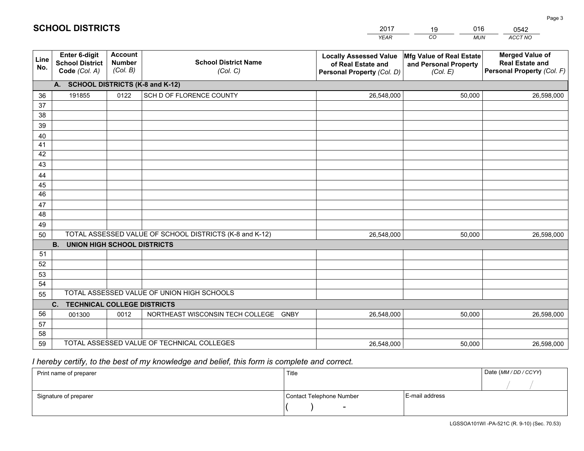|             |                                                          |                                             |                                                         | <b>YEAR</b>                                                                       | CO<br><b>MUN</b>                                              | ACCT NO                                                                        |
|-------------|----------------------------------------------------------|---------------------------------------------|---------------------------------------------------------|-----------------------------------------------------------------------------------|---------------------------------------------------------------|--------------------------------------------------------------------------------|
| Line<br>No. | Enter 6-digit<br><b>School District</b><br>Code (Col. A) | <b>Account</b><br><b>Number</b><br>(Col. B) | <b>School District Name</b><br>(Col. C)                 | <b>Locally Assessed Value</b><br>of Real Estate and<br>Personal Property (Col. D) | Mfg Value of Real Estate<br>and Personal Property<br>(Col. E) | <b>Merged Value of</b><br><b>Real Estate and</b><br>Personal Property (Col. F) |
|             | A. SCHOOL DISTRICTS (K-8 and K-12)                       |                                             |                                                         |                                                                                   |                                                               |                                                                                |
| 36          | 191855                                                   | 0122                                        | SCH D OF FLORENCE COUNTY                                | 26,548,000                                                                        | 50,000                                                        | 26,598,000                                                                     |
| 37          |                                                          |                                             |                                                         |                                                                                   |                                                               |                                                                                |
| 38          |                                                          |                                             |                                                         |                                                                                   |                                                               |                                                                                |
| 39          |                                                          |                                             |                                                         |                                                                                   |                                                               |                                                                                |
| 40          |                                                          |                                             |                                                         |                                                                                   |                                                               |                                                                                |
| 41<br>42    |                                                          |                                             |                                                         |                                                                                   |                                                               |                                                                                |
| 43          |                                                          |                                             |                                                         |                                                                                   |                                                               |                                                                                |
| 44          |                                                          |                                             |                                                         |                                                                                   |                                                               |                                                                                |
| 45          |                                                          |                                             |                                                         |                                                                                   |                                                               |                                                                                |
| 46          |                                                          |                                             |                                                         |                                                                                   |                                                               |                                                                                |
| 47          |                                                          |                                             |                                                         |                                                                                   |                                                               |                                                                                |
| 48          |                                                          |                                             |                                                         |                                                                                   |                                                               |                                                                                |
| 49          |                                                          |                                             |                                                         |                                                                                   |                                                               |                                                                                |
| 50          |                                                          |                                             | TOTAL ASSESSED VALUE OF SCHOOL DISTRICTS (K-8 and K-12) | 26,548,000                                                                        | 50,000                                                        | 26,598,000                                                                     |
|             | <b>B.</b><br><b>UNION HIGH SCHOOL DISTRICTS</b>          |                                             |                                                         |                                                                                   |                                                               |                                                                                |
| 51          |                                                          |                                             |                                                         |                                                                                   |                                                               |                                                                                |
| 52          |                                                          |                                             |                                                         |                                                                                   |                                                               |                                                                                |
| 53          |                                                          |                                             |                                                         |                                                                                   |                                                               |                                                                                |
| 54          |                                                          |                                             |                                                         |                                                                                   |                                                               |                                                                                |
| 55          |                                                          |                                             | TOTAL ASSESSED VALUE OF UNION HIGH SCHOOLS              |                                                                                   |                                                               |                                                                                |
|             | C.<br><b>TECHNICAL COLLEGE DISTRICTS</b>                 |                                             |                                                         |                                                                                   |                                                               |                                                                                |
| 56          | 001300                                                   | 0012                                        | NORTHEAST WISCONSIN TECH COLLEGE GNBY                   | 26,548,000                                                                        | 50,000                                                        | 26,598,000                                                                     |
| 57<br>58    |                                                          |                                             |                                                         |                                                                                   |                                                               |                                                                                |
| 59          |                                                          |                                             | TOTAL ASSESSED VALUE OF TECHNICAL COLLEGES              | 26,548,000                                                                        | 50,000                                                        | 26,598,000                                                                     |
|             |                                                          |                                             |                                                         |                                                                                   |                                                               |                                                                                |

2017

19

016

# *I hereby certify, to the best of my knowledge and belief, this form is complete and correct.*

**SCHOOL DISTRICTS**

| Print name of preparer | Title                    |                | Date (MM / DD / CCYY) |
|------------------------|--------------------------|----------------|-----------------------|
|                        |                          |                |                       |
| Signature of preparer  | Contact Telephone Number | E-mail address |                       |
|                        | $\sim$                   |                |                       |